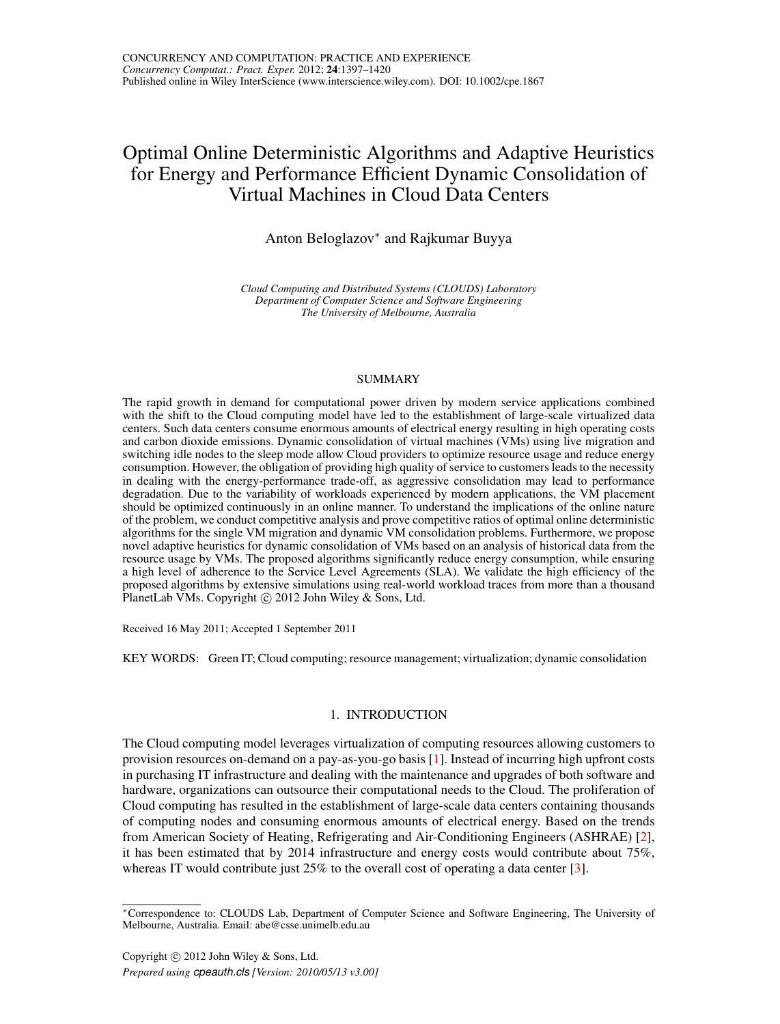# Optimal Online Deterministic Algorithms and Adaptive Heuristics for Energy and Performance Efficient Dynamic Consolidation of Virtual Machines in Cloud Data Centers

# Anton Beloglazov<sup>∗</sup> and Rajkumar Buyya

*Cloud Computing and Distributed Systems (CLOUDS) Laboratory Department of Computer Science and Software Engineering The University of Melbourne, Australia*

# SUMMARY

The rapid growth in demand for computational power driven by modern service applications combined with the shift to the Cloud computing model have led to the establishment of large-scale virtualized data centers. Such data centers consume enormous amounts of electrical energy resulting in high operating costs and carbon dioxide emissions. Dynamic consolidation of virtual machines (VMs) using live migration and switching idle nodes to the sleep mode allow Cloud providers to optimize resource usage and reduce energy consumption. However, the obligation of providing high quality of service to customers leads to the necessity in dealing with the energy-performance trade-off, as aggressive consolidation may lead to performance degradation. Due to the variability of workloads experienced by modern applications, the VM placement should be optimized continuously in an online manner. To understand the implications of the online nature of the problem, we conduct competitive analysis and prove competitive ratios of optimal online deterministic algorithms for the single VM migration and dynamic VM consolidation problems. Furthermore, we propose novel adaptive heuristics for dynamic consolidation of VMs based on an analysis of historical data from the resource usage by VMs. The proposed algorithms significantly reduce energy consumption, while ensuring a high level of adherence to the Service Level Agreements (SLA). We validate the high efficiency of the proposed algorithms by extensive simulations using real-world workload traces from more than a thousand PlanetLab VMs. Copyright © 2012 John Wiley & Sons, Ltd.

Received 16 May 2011; Accepted 1 September 2011

KEY WORDS: Green IT; Cloud computing; resource management; virtualization; dynamic consolidation

# 1. INTRODUCTION

The Cloud computing model leverages virtualization of computing resources allowing customers to provision resources on-demand on a pay-as-you-go basis [\[1\]](#page-22-0). Instead of incurring high upfront costs in purchasing IT infrastructure and dealing with the maintenance and upgrades of both software and hardware, organizations can outsource their computational needs to the Cloud. The proliferation of Cloud computing has resulted in the establishment of large-scale data centers containing thousands of computing nodes and consuming enormous amounts of electrical energy. Based on the trends from American Society of Heating, Refrigerating and Air-Conditioning Engineers (ASHRAE) [\[2\]](#page-22-1), it has been estimated that by 2014 infrastructure and energy costs would contribute about 75%, whereas IT would contribute just 25% to the overall cost of operating a data center [\[3\]](#page-22-2).

<sup>∗</sup>Correspondence to: CLOUDS Lab, Department of Computer Science and Software Engineering, The University of Melbourne, Australia. Email: abe@csse.unimelb.edu.au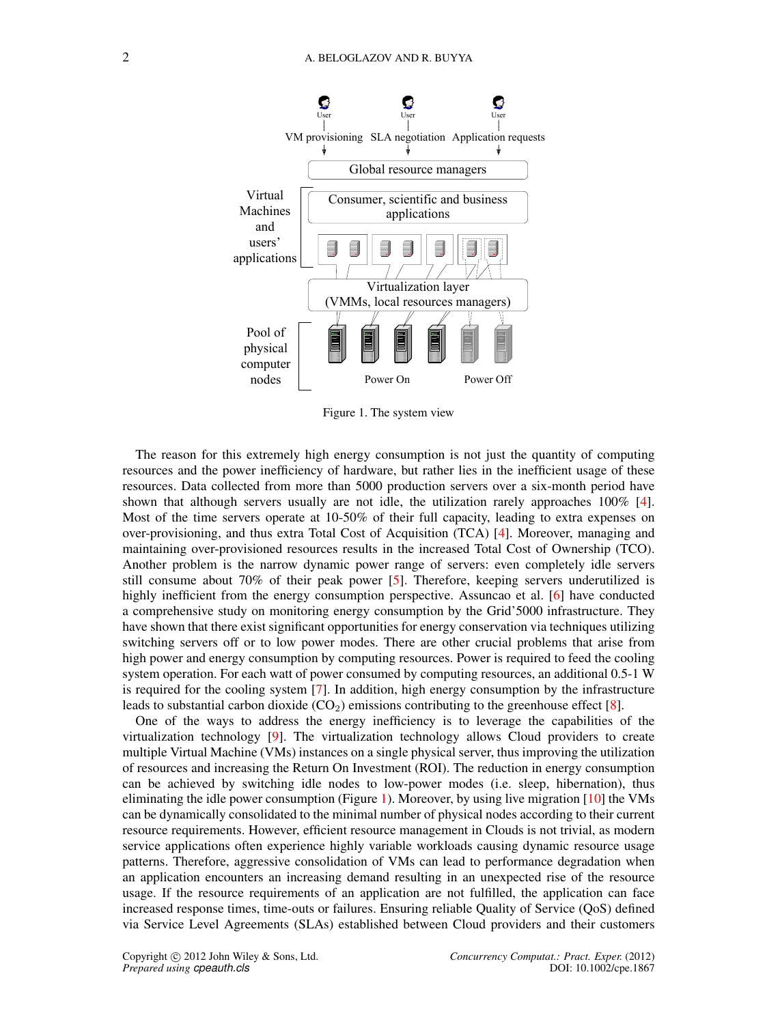<span id="page-1-0"></span>

Figure 1. The system view

The reason for this extremely high energy consumption is not just the quantity of computing resources and the power inefficiency of hardware, but rather lies in the inefficient usage of these resources. Data collected from more than 5000 production servers over a six-month period have shown that although servers usually are not idle, the utilization rarely approaches 100% [\[4\]](#page-22-3). Most of the time servers operate at 10-50% of their full capacity, leading to extra expenses on over-provisioning, and thus extra Total Cost of Acquisition (TCA) [\[4\]](#page-22-3). Moreover, managing and maintaining over-provisioned resources results in the increased Total Cost of Ownership (TCO). Another problem is the narrow dynamic power range of servers: even completely idle servers still consume about 70% of their peak power [\[5\]](#page-22-4). Therefore, keeping servers underutilized is highly inefficient from the energy consumption perspective. Assuncao et al. [\[6\]](#page-22-5) have conducted a comprehensive study on monitoring energy consumption by the Grid'5000 infrastructure. They have shown that there exist significant opportunities for energy conservation via techniques utilizing switching servers off or to low power modes. There are other crucial problems that arise from high power and energy consumption by computing resources. Power is required to feed the cooling system operation. For each watt of power consumed by computing resources, an additional 0.5-1 W is required for the cooling system [\[7\]](#page-22-6). In addition, high energy consumption by the infrastructure leads to substantial carbon dioxide  $(CO_2)$  emissions contributing to the greenhouse effect [\[8\]](#page-22-7).

One of the ways to address the energy inefficiency is to leverage the capabilities of the virtualization technology [\[9\]](#page-22-8). The virtualization technology allows Cloud providers to create multiple Virtual Machine (VMs) instances on a single physical server, thus improving the utilization of resources and increasing the Return On Investment (ROI). The reduction in energy consumption can be achieved by switching idle nodes to low-power modes (i.e. sleep, hibernation), thus eliminating the idle power consumption (Figure [1\)](#page-1-0). Moreover, by using live migration [\[10\]](#page-22-9) the VMs can be dynamically consolidated to the minimal number of physical nodes according to their current resource requirements. However, efficient resource management in Clouds is not trivial, as modern service applications often experience highly variable workloads causing dynamic resource usage patterns. Therefore, aggressive consolidation of VMs can lead to performance degradation when an application encounters an increasing demand resulting in an unexpected rise of the resource usage. If the resource requirements of an application are not fulfilled, the application can face increased response times, time-outs or failures. Ensuring reliable Quality of Service (QoS) defined via Service Level Agreements (SLAs) established between Cloud providers and their customers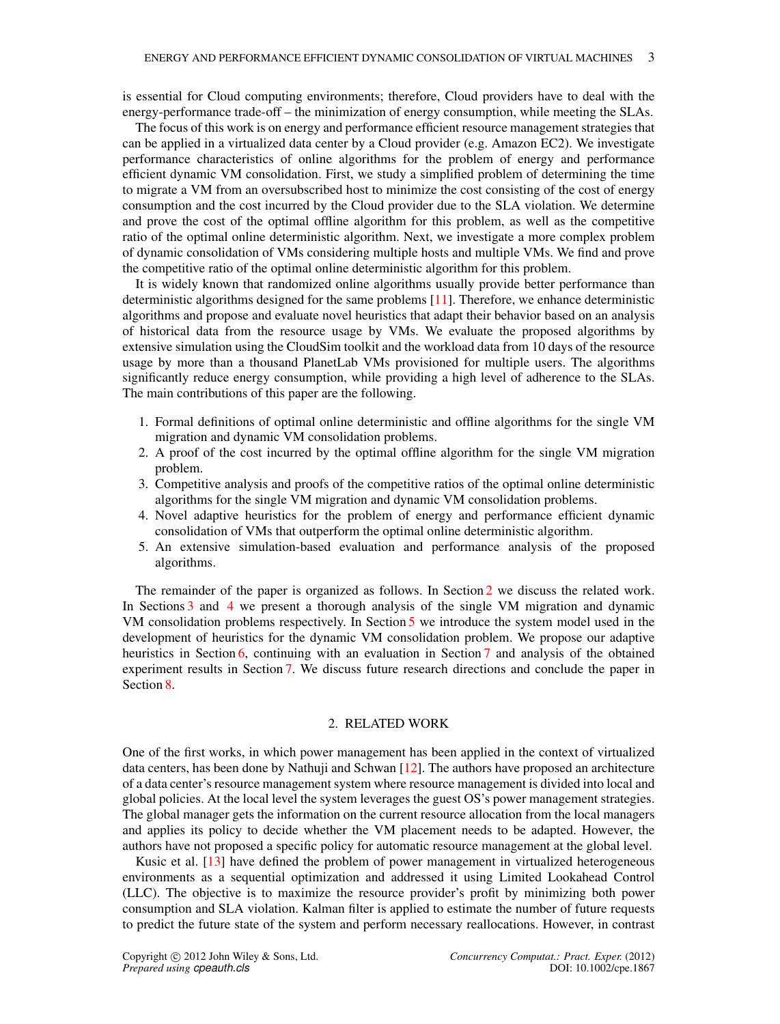is essential for Cloud computing environments; therefore, Cloud providers have to deal with the energy-performance trade-off – the minimization of energy consumption, while meeting the SLAs.

The focus of this work is on energy and performance efficient resource management strategies that can be applied in a virtualized data center by a Cloud provider (e.g. Amazon EC2). We investigate performance characteristics of online algorithms for the problem of energy and performance efficient dynamic VM consolidation. First, we study a simplified problem of determining the time to migrate a VM from an oversubscribed host to minimize the cost consisting of the cost of energy consumption and the cost incurred by the Cloud provider due to the SLA violation. We determine and prove the cost of the optimal offline algorithm for this problem, as well as the competitive ratio of the optimal online deterministic algorithm. Next, we investigate a more complex problem of dynamic consolidation of VMs considering multiple hosts and multiple VMs. We find and prove the competitive ratio of the optimal online deterministic algorithm for this problem.

It is widely known that randomized online algorithms usually provide better performance than deterministic algorithms designed for the same problems [\[11\]](#page-22-10). Therefore, we enhance deterministic algorithms and propose and evaluate novel heuristics that adapt their behavior based on an analysis of historical data from the resource usage by VMs. We evaluate the proposed algorithms by extensive simulation using the CloudSim toolkit and the workload data from 10 days of the resource usage by more than a thousand PlanetLab VMs provisioned for multiple users. The algorithms significantly reduce energy consumption, while providing a high level of adherence to the SLAs. The main contributions of this paper are the following.

- 1. Formal definitions of optimal online deterministic and offline algorithms for the single VM migration and dynamic VM consolidation problems.
- 2. A proof of the cost incurred by the optimal offline algorithm for the single VM migration problem.
- 3. Competitive analysis and proofs of the competitive ratios of the optimal online deterministic algorithms for the single VM migration and dynamic VM consolidation problems.
- 4. Novel adaptive heuristics for the problem of energy and performance efficient dynamic consolidation of VMs that outperform the optimal online deterministic algorithm.
- 5. An extensive simulation-based evaluation and performance analysis of the proposed algorithms.

The remainder of the paper is organized as follows. In Section [2](#page-2-0) we discuss the related work. In Sections [3](#page-4-0) and [4](#page-7-0) we present a thorough analysis of the single VM migration and dynamic VM consolidation problems respectively. In Section [5](#page-10-0) we introduce the system model used in the development of heuristics for the dynamic VM consolidation problem. We propose our adaptive heuristics in Section [6,](#page-12-0) continuing with an evaluation in Section [7](#page-17-0) and analysis of the obtained experiment results in Section [7.](#page-17-0) We discuss future research directions and conclude the paper in Section [8.](#page-21-0)

### 2. RELATED WORK

<span id="page-2-0"></span>One of the first works, in which power management has been applied in the context of virtualized data centers, has been done by Nathuji and Schwan [\[12\]](#page-22-11). The authors have proposed an architecture of a data center's resource management system where resource management is divided into local and global policies. At the local level the system leverages the guest OS's power management strategies. The global manager gets the information on the current resource allocation from the local managers and applies its policy to decide whether the VM placement needs to be adapted. However, the authors have not proposed a specific policy for automatic resource management at the global level.

Kusic et al. [\[13\]](#page-22-12) have defined the problem of power management in virtualized heterogeneous environments as a sequential optimization and addressed it using Limited Lookahead Control (LLC). The objective is to maximize the resource provider's profit by minimizing both power consumption and SLA violation. Kalman filter is applied to estimate the number of future requests to predict the future state of the system and perform necessary reallocations. However, in contrast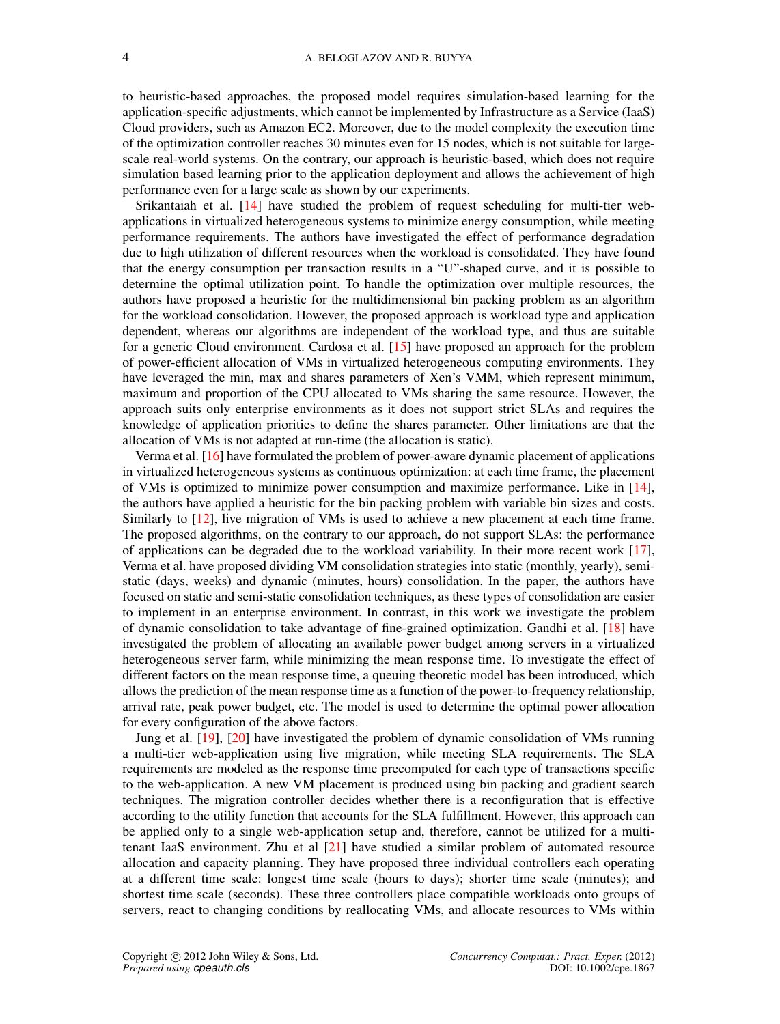to heuristic-based approaches, the proposed model requires simulation-based learning for the application-specific adjustments, which cannot be implemented by Infrastructure as a Service (IaaS) Cloud providers, such as Amazon EC2. Moreover, due to the model complexity the execution time of the optimization controller reaches 30 minutes even for 15 nodes, which is not suitable for largescale real-world systems. On the contrary, our approach is heuristic-based, which does not require simulation based learning prior to the application deployment and allows the achievement of high performance even for a large scale as shown by our experiments.

Srikantaiah et al. [\[14\]](#page-22-13) have studied the problem of request scheduling for multi-tier webapplications in virtualized heterogeneous systems to minimize energy consumption, while meeting performance requirements. The authors have investigated the effect of performance degradation due to high utilization of different resources when the workload is consolidated. They have found that the energy consumption per transaction results in a "U"-shaped curve, and it is possible to determine the optimal utilization point. To handle the optimization over multiple resources, the authors have proposed a heuristic for the multidimensional bin packing problem as an algorithm for the workload consolidation. However, the proposed approach is workload type and application dependent, whereas our algorithms are independent of the workload type, and thus are suitable for a generic Cloud environment. Cardosa et al. [\[15\]](#page-22-14) have proposed an approach for the problem of power-efficient allocation of VMs in virtualized heterogeneous computing environments. They have leveraged the min, max and shares parameters of Xen's VMM, which represent minimum, maximum and proportion of the CPU allocated to VMs sharing the same resource. However, the approach suits only enterprise environments as it does not support strict SLAs and requires the knowledge of application priorities to define the shares parameter. Other limitations are that the allocation of VMs is not adapted at run-time (the allocation is static).

Verma et al. [\[16\]](#page-22-15) have formulated the problem of power-aware dynamic placement of applications in virtualized heterogeneous systems as continuous optimization: at each time frame, the placement of VMs is optimized to minimize power consumption and maximize performance. Like in [\[14\]](#page-22-13), the authors have applied a heuristic for the bin packing problem with variable bin sizes and costs. Similarly to [\[12\]](#page-22-11), live migration of VMs is used to achieve a new placement at each time frame. The proposed algorithms, on the contrary to our approach, do not support SLAs: the performance of applications can be degraded due to the workload variability. In their more recent work [\[17\]](#page-22-16), Verma et al. have proposed dividing VM consolidation strategies into static (monthly, yearly), semistatic (days, weeks) and dynamic (minutes, hours) consolidation. In the paper, the authors have focused on static and semi-static consolidation techniques, as these types of consolidation are easier to implement in an enterprise environment. In contrast, in this work we investigate the problem of dynamic consolidation to take advantage of fine-grained optimization. Gandhi et al. [\[18\]](#page-22-17) have investigated the problem of allocating an available power budget among servers in a virtualized heterogeneous server farm, while minimizing the mean response time. To investigate the effect of different factors on the mean response time, a queuing theoretic model has been introduced, which allows the prediction of the mean response time as a function of the power-to-frequency relationship, arrival rate, peak power budget, etc. The model is used to determine the optimal power allocation for every configuration of the above factors.

Jung et al. [\[19\]](#page-22-18), [\[20\]](#page-23-0) have investigated the problem of dynamic consolidation of VMs running a multi-tier web-application using live migration, while meeting SLA requirements. The SLA requirements are modeled as the response time precomputed for each type of transactions specific to the web-application. A new VM placement is produced using bin packing and gradient search techniques. The migration controller decides whether there is a reconfiguration that is effective according to the utility function that accounts for the SLA fulfillment. However, this approach can be applied only to a single web-application setup and, therefore, cannot be utilized for a multitenant IaaS environment. Zhu et al [\[21\]](#page-23-1) have studied a similar problem of automated resource allocation and capacity planning. They have proposed three individual controllers each operating at a different time scale: longest time scale (hours to days); shorter time scale (minutes); and shortest time scale (seconds). These three controllers place compatible workloads onto groups of servers, react to changing conditions by reallocating VMs, and allocate resources to VMs within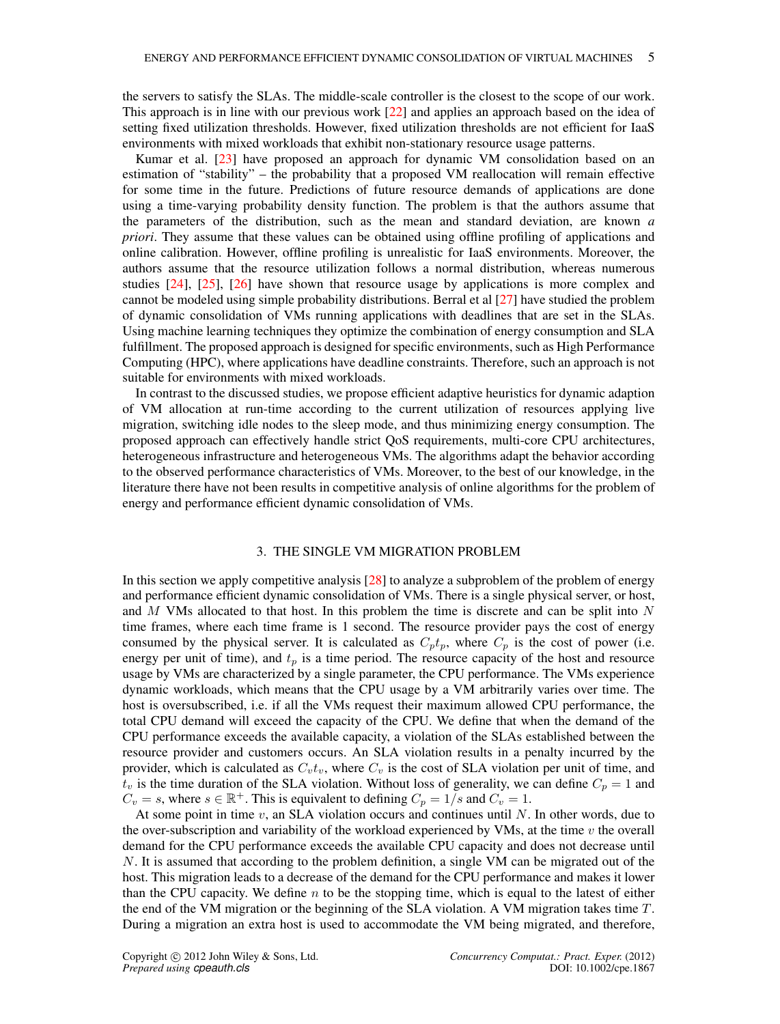the servers to satisfy the SLAs. The middle-scale controller is the closest to the scope of our work. This approach is in line with our previous work [\[22\]](#page-23-2) and applies an approach based on the idea of setting fixed utilization thresholds. However, fixed utilization thresholds are not efficient for IaaS environments with mixed workloads that exhibit non-stationary resource usage patterns.

Kumar et al. [\[23\]](#page-23-3) have proposed an approach for dynamic VM consolidation based on an estimation of "stability" – the probability that a proposed VM reallocation will remain effective for some time in the future. Predictions of future resource demands of applications are done using a time-varying probability density function. The problem is that the authors assume that the parameters of the distribution, such as the mean and standard deviation, are known *a priori*. They assume that these values can be obtained using offline profiling of applications and online calibration. However, offline profiling is unrealistic for IaaS environments. Moreover, the authors assume that the resource utilization follows a normal distribution, whereas numerous studies [\[24\]](#page-23-4), [\[25\]](#page-23-5), [\[26\]](#page-23-6) have shown that resource usage by applications is more complex and cannot be modeled using simple probability distributions. Berral et al [\[27\]](#page-23-7) have studied the problem of dynamic consolidation of VMs running applications with deadlines that are set in the SLAs. Using machine learning techniques they optimize the combination of energy consumption and SLA fulfillment. The proposed approach is designed for specific environments, such as High Performance Computing (HPC), where applications have deadline constraints. Therefore, such an approach is not suitable for environments with mixed workloads.

In contrast to the discussed studies, we propose efficient adaptive heuristics for dynamic adaption of VM allocation at run-time according to the current utilization of resources applying live migration, switching idle nodes to the sleep mode, and thus minimizing energy consumption. The proposed approach can effectively handle strict QoS requirements, multi-core CPU architectures, heterogeneous infrastructure and heterogeneous VMs. The algorithms adapt the behavior according to the observed performance characteristics of VMs. Moreover, to the best of our knowledge, in the literature there have not been results in competitive analysis of online algorithms for the problem of energy and performance efficient dynamic consolidation of VMs.

### 3. THE SINGLE VM MIGRATION PROBLEM

<span id="page-4-0"></span>In this section we apply competitive analysis [\[28\]](#page-23-8) to analyze a subproblem of the problem of energy and performance efficient dynamic consolidation of VMs. There is a single physical server, or host, and  $M$  VMs allocated to that host. In this problem the time is discrete and can be split into  $N$ time frames, where each time frame is 1 second. The resource provider pays the cost of energy consumed by the physical server. It is calculated as  $C_p t_p$ , where  $C_p$  is the cost of power (i.e. energy per unit of time), and  $t_p$  is a time period. The resource capacity of the host and resource usage by VMs are characterized by a single parameter, the CPU performance. The VMs experience dynamic workloads, which means that the CPU usage by a VM arbitrarily varies over time. The host is oversubscribed, i.e. if all the VMs request their maximum allowed CPU performance, the total CPU demand will exceed the capacity of the CPU. We define that when the demand of the CPU performance exceeds the available capacity, a violation of the SLAs established between the resource provider and customers occurs. An SLA violation results in a penalty incurred by the provider, which is calculated as  $C_v t_v$ , where  $C_v$  is the cost of SLA violation per unit of time, and  $t_v$  is the time duration of the SLA violation. Without loss of generality, we can define  $C_p = 1$  and  $C_v = s$ , where  $s \in \mathbb{R}^+$ . This is equivalent to defining  $C_p = 1/s$  and  $C_v = 1$ .

At some point in time  $v$ , an SLA violation occurs and continues until N. In other words, due to the over-subscription and variability of the workload experienced by VMs, at the time  $v$  the overall demand for the CPU performance exceeds the available CPU capacity and does not decrease until N. It is assumed that according to the problem definition, a single VM can be migrated out of the host. This migration leads to a decrease of the demand for the CPU performance and makes it lower than the CPU capacity. We define  $n$  to be the stopping time, which is equal to the latest of either the end of the VM migration or the beginning of the SLA violation. A VM migration takes time T. During a migration an extra host is used to accommodate the VM being migrated, and therefore,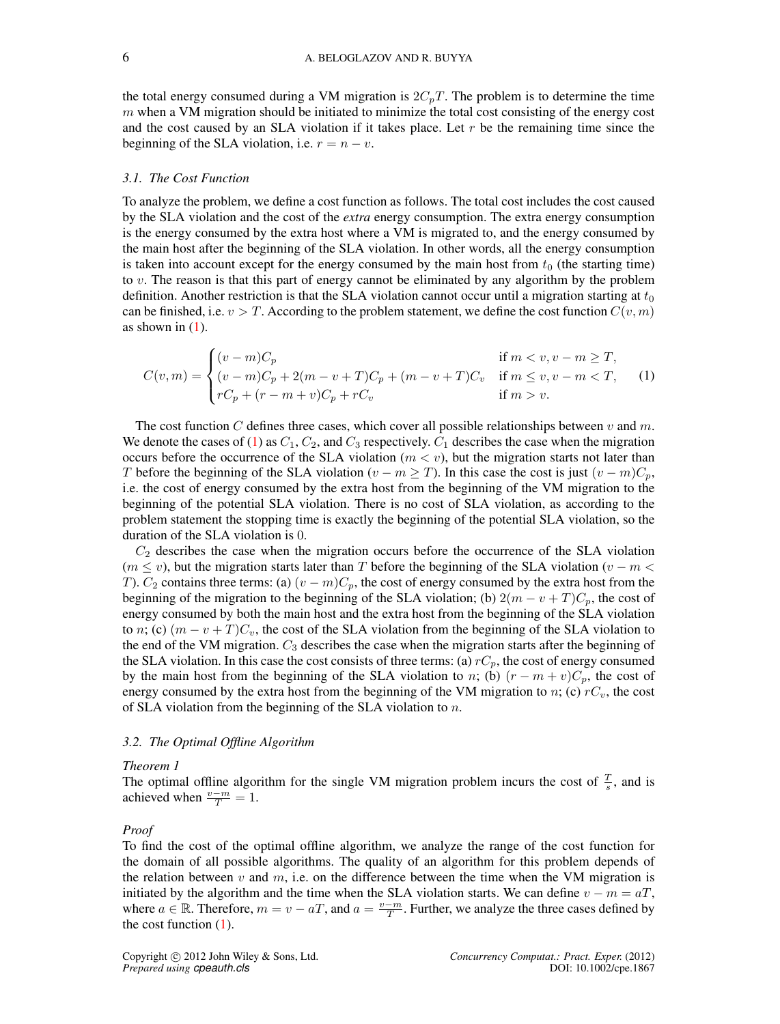the total energy consumed during a VM migration is  $2C_pT$ . The problem is to determine the time  $m$  when a VM migration should be initiated to minimize the total cost consisting of the energy cost and the cost caused by an SLA violation if it takes place. Let  $r$  be the remaining time since the beginning of the SLA violation, i.e.  $r = n - v$ .

# *3.1. The Cost Function*

To analyze the problem, we define a cost function as follows. The total cost includes the cost caused by the SLA violation and the cost of the *extra* energy consumption. The extra energy consumption is the energy consumed by the extra host where a VM is migrated to, and the energy consumed by the main host after the beginning of the SLA violation. In other words, all the energy consumption is taken into account except for the energy consumed by the main host from  $t_0$  (the starting time) to  $v$ . The reason is that this part of energy cannot be eliminated by any algorithm by the problem definition. Another restriction is that the SLA violation cannot occur until a migration starting at  $t_0$ can be finished, i.e.  $v > T$ . According to the problem statement, we define the cost function  $C(v, m)$ as shown in  $(1)$ .

<span id="page-5-0"></span>
$$
C(v,m) = \begin{cases} (v-m)C_p & \text{if } m < v, v - m \ge T, \\ (v-m)C_p + 2(m-v+T)C_p + (m-v+T)C_v & \text{if } m \le v, v - m < T, \\ rC_p + (r-m+v)C_p + rC_v & \text{if } m > v. \end{cases}
$$
(1)

The cost function C defines three cases, which cover all possible relationships between v and m. We denote the cases of [\(1\)](#page-5-0) as  $C_1$ ,  $C_2$ , and  $C_3$  respectively.  $C_1$  describes the case when the migration occurs before the occurrence of the SLA violation ( $m < v$ ), but the migration starts not later than T before the beginning of the SLA violation  $(v - m > T)$ . In this case the cost is just  $(v - m)C_n$ , i.e. the cost of energy consumed by the extra host from the beginning of the VM migration to the beginning of the potential SLA violation. There is no cost of SLA violation, as according to the problem statement the stopping time is exactly the beginning of the potential SLA violation, so the duration of the SLA violation is 0.

 $C_2$  describes the case when the migration occurs before the occurrence of the SLA violation  $(m \le v)$ , but the migration starts later than T before the beginning of the SLA violation  $(v - m <$ T).  $C_2$  contains three terms: (a)  $(v - m)C_p$ , the cost of energy consumed by the extra host from the beginning of the migration to the beginning of the SLA violation; (b)  $2(m - v + T)C_p$ , the cost of energy consumed by both the main host and the extra host from the beginning of the SLA violation to n; (c)  $(m - v + T)C_v$ , the cost of the SLA violation from the beginning of the SLA violation to the end of the VM migration.  $C_3$  describes the case when the migration starts after the beginning of the SLA violation. In this case the cost consists of three terms: (a)  $rC_p$ , the cost of energy consumed by the main host from the beginning of the SLA violation to n; (b)  $(r - m + v)C_p$ , the cost of energy consumed by the extra host from the beginning of the VM migration to n; (c)  $rC_v$ , the cost of SLA violation from the beginning of the SLA violation to  $n$ .

### *3.2. The Optimal Offline Algorithm*

### <span id="page-5-1"></span>*Theorem 1*

The optimal offline algorithm for the single VM migration problem incurs the cost of  $\frac{T}{s}$ , and is achieved when  $\frac{v-m}{T} = 1$ .

### *Proof*

To find the cost of the optimal offline algorithm, we analyze the range of the cost function for the domain of all possible algorithms. The quality of an algorithm for this problem depends of the relation between v and  $m$ , i.e. on the difference between the time when the VM migration is initiated by the algorithm and the time when the SLA violation starts. We can define  $v - m = aT$ , where  $a \in \mathbb{R}$ . Therefore,  $m = v - aT$ , and  $a = \frac{v - m}{T}$ . Further, we analyze the three cases defined by the cost function [\(1\)](#page-5-0).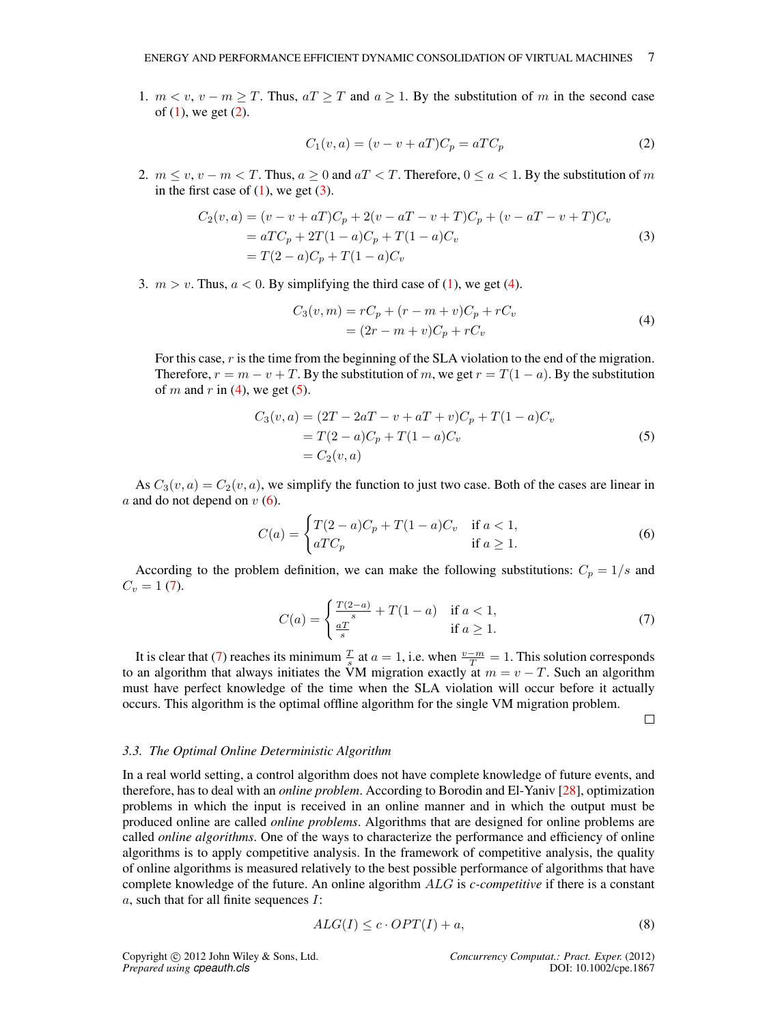1.  $m < v, v - m \geq T$ . Thus,  $aT \geq T$  and  $a \geq 1$ . By the substitution of m in the second case of  $(1)$ , we get  $(2)$ .

$$
C_1(v, a) = (v - v + aT)C_p = aTC_p \tag{2}
$$

<span id="page-6-0"></span>2.  $m \le v, v - m \le T$ . Thus,  $a > 0$  and  $aT \le T$ . Therefore,  $0 \le a \le 1$ . By the substitution of m in the first case of  $(1)$ , we get  $(3)$ .

<span id="page-6-1"></span>
$$
C_2(v, a) = (v - v + aT)C_p + 2(v - aT - v + T)C_p + (v - aT - v + T)C_v
$$
  
= aTC\_p + 2T(1 - a)C\_p + T(1 - a)C\_v  
= T(2 - a)C\_p + T(1 - a)C\_v (3)

<span id="page-6-2"></span>3.  $m > v$ . Thus,  $a < 0$ . By simplifying the third case of [\(1\)](#page-5-0), we get [\(4\)](#page-6-2).

$$
C_3(v,m) = rC_p + (r - m + v)C_p + rC_v
$$
  
=  $(2r - m + v)C_p + rC_v$  (4)

For this case, r is the time from the beginning of the SLA violation to the end of the migration. Therefore,  $r = m - v + T$ . By the substitution of m, we get  $r = T(1 - a)$ . By the substitution of m and r in [\(4\)](#page-6-2), we get [\(5\)](#page-6-3).

$$
C_3(v, a) = (2T - 2aT - v + aT + v)C_p + T(1 - a)C_v
$$
  
= T(2 - a)C\_p + T(1 - a)C\_v  
= C\_2(v, a) (5)

<span id="page-6-3"></span>As  $C_3(v, a) = C_2(v, a)$ , we simplify the function to just two case. Both of the cases are linear in a and do not depend on  $v(6)$  $v(6)$ .

<span id="page-6-4"></span>
$$
C(a) = \begin{cases} T(2-a)C_p + T(1-a)C_v & \text{if } a < 1, \\ aTC_p & \text{if } a \ge 1. \end{cases}
$$
 (6)

According to the problem definition, we can make the following substitutions:  $C_p = 1/s$  and  $C_v = 1 (7).$  $C_v = 1 (7).$  $C_v = 1 (7).$ 

<span id="page-6-5"></span>
$$
C(a) = \begin{cases} \frac{T(2-a)}{s} + T(1-a) & \text{if } a < 1, \\ \frac{aT}{s} & \text{if } a \ge 1. \end{cases}
$$
 (7)

It is clear that [\(7\)](#page-6-5) reaches its minimum  $\frac{T}{s}$  at  $a = 1$ , i.e. when  $\frac{v-m}{T} = 1$ . This solution corresponds to an algorithm that always initiates the VM migration exactly at  $m = v - T$ . Such an algorithm must have perfect knowledge of the time when the SLA violation will occur before it actually occurs. This algorithm is the optimal offline algorithm for the single VM migration problem.

 $\Box$ 

### *3.3. The Optimal Online Deterministic Algorithm*

In a real world setting, a control algorithm does not have complete knowledge of future events, and therefore, has to deal with an *online problem*. According to Borodin and El-Yaniv [\[28\]](#page-23-8), optimization problems in which the input is received in an online manner and in which the output must be produced online are called *online problems*. Algorithms that are designed for online problems are called *online algorithms*. One of the ways to characterize the performance and efficiency of online algorithms is to apply competitive analysis. In the framework of competitive analysis, the quality of online algorithms is measured relatively to the best possible performance of algorithms that have complete knowledge of the future. An online algorithm ALG is *c-competitive* if there is a constant a, such that for all finite sequences I:

$$
ALG(I) \le c \cdot OPT(I) + a,\tag{8}
$$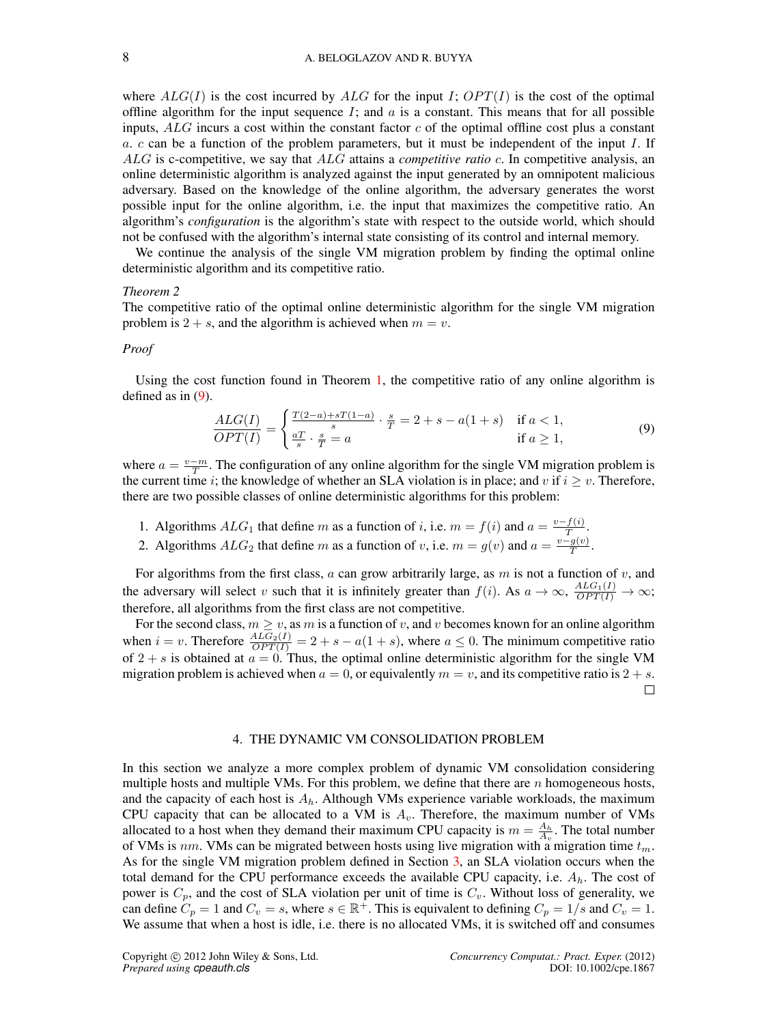where  $ALG(I)$  is the cost incurred by  $ALG$  for the input I;  $OPT(I)$  is the cost of the optimal offline algorithm for the input sequence  $I$ ; and  $a$  is a constant. This means that for all possible inputs,  $ALG$  incurs a cost within the constant factor  $c$  of the optimal offline cost plus a constant  $a, c$  can be a function of the problem parameters, but it must be independent of the input I. If ALG is c-competitive, we say that ALG attains a *competitive ratio* c. In competitive analysis, an online deterministic algorithm is analyzed against the input generated by an omnipotent malicious adversary. Based on the knowledge of the online algorithm, the adversary generates the worst possible input for the online algorithm, i.e. the input that maximizes the competitive ratio. An algorithm's *configuration* is the algorithm's state with respect to the outside world, which should not be confused with the algorithm's internal state consisting of its control and internal memory.

We continue the analysis of the single VM migration problem by finding the optimal online deterministic algorithm and its competitive ratio.

#### *Theorem 2*

The competitive ratio of the optimal online deterministic algorithm for the single VM migration problem is  $2 + s$ , and the algorithm is achieved when  $m = v$ .

# *Proof*

Using the cost function found in Theorem [1,](#page-5-1) the competitive ratio of any online algorithm is defined as in [\(9\)](#page-7-1).

<span id="page-7-1"></span>
$$
\frac{ALG(I)}{OPT(I)} = \begin{cases} \frac{T(2-a) + sT(1-a)}{s} \cdot \frac{s}{T} = 2 + s - a(1+s) & \text{if } a < 1, \\ \frac{aT}{s} \cdot \frac{s}{T} = a & \text{if } a \ge 1, \end{cases}
$$
(9)

where  $a = \frac{v-m}{T}$ . The configuration of any online algorithm for the single VM migration problem is the current time i; the knowledge of whether an SLA violation is in place; and v if  $i \geq v$ . Therefore, there are two possible classes of online deterministic algorithms for this problem:

- 1. Algorithms  $ALG_1$  that define m as a function of i, i.e.  $m = f(i)$  and  $a = \frac{v f(i)}{T}$  $\frac{J(i)}{T}$ .
- 2. Algorithms  $ALG_2$  that define m as a function of v, i.e.  $m = g(v)$  and  $a = \frac{v g(v)}{T}$  $\frac{g(v)}{T}$ .

For algorithms from the first class,  $a$  can grow arbitrarily large, as  $m$  is not a function of  $v$ , and the adversary will select v such that it is infinitely greater than  $f(i)$ . As  $a \to \infty$ ,  $\frac{ALG_1(I)}{OPT(I)} \to \infty$ ; therefore, all algorithms from the first class are not competitive.

For the second class,  $m \ge v$ , as m is a function of v, and v becomes known for an online algorithm when  $i = v$ . Therefore  $\frac{ALG_2(I)}{OPT(I)} = 2 + s - a(1 + s)$ , where  $a \le 0$ . The minimum competitive ratio of  $2 + s$  is obtained at  $a = 0$ . Thus, the optimal online deterministic algorithm for the single VM migration problem is achieved when  $a = 0$ , or equivalently  $m = v$ , and its competitive ratio is  $2 + s$ .  $\Box$ 

#### 4. THE DYNAMIC VM CONSOLIDATION PROBLEM

<span id="page-7-0"></span>In this section we analyze a more complex problem of dynamic VM consolidation considering multiple hosts and multiple VMs. For this problem, we define that there are  $n$  homogeneous hosts, and the capacity of each host is  $A_h$ . Although VMs experience variable workloads, the maximum CPU capacity that can be allocated to a VM is  $A_v$ . Therefore, the maximum number of VMs allocated to a host when they demand their maximum CPU capacity is  $m = \frac{A_h}{A_v}$ . The total number of VMs is nm. VMs can be migrated between hosts using live migration with a migration time  $t_m$ . As for the single VM migration problem defined in Section [3,](#page-4-0) an SLA violation occurs when the total demand for the CPU performance exceeds the available CPU capacity, i.e.  $A<sub>h</sub>$ . The cost of power is  $C_p$ , and the cost of SLA violation per unit of time is  $C_v$ . Without loss of generality, we can define  $C_p = 1$  and  $C_v = s$ , where  $s \in \mathbb{R}^+$ . This is equivalent to defining  $C_p = 1/s$  and  $C_v = 1$ . We assume that when a host is idle, i.e. there is no allocated VMs, it is switched off and consumes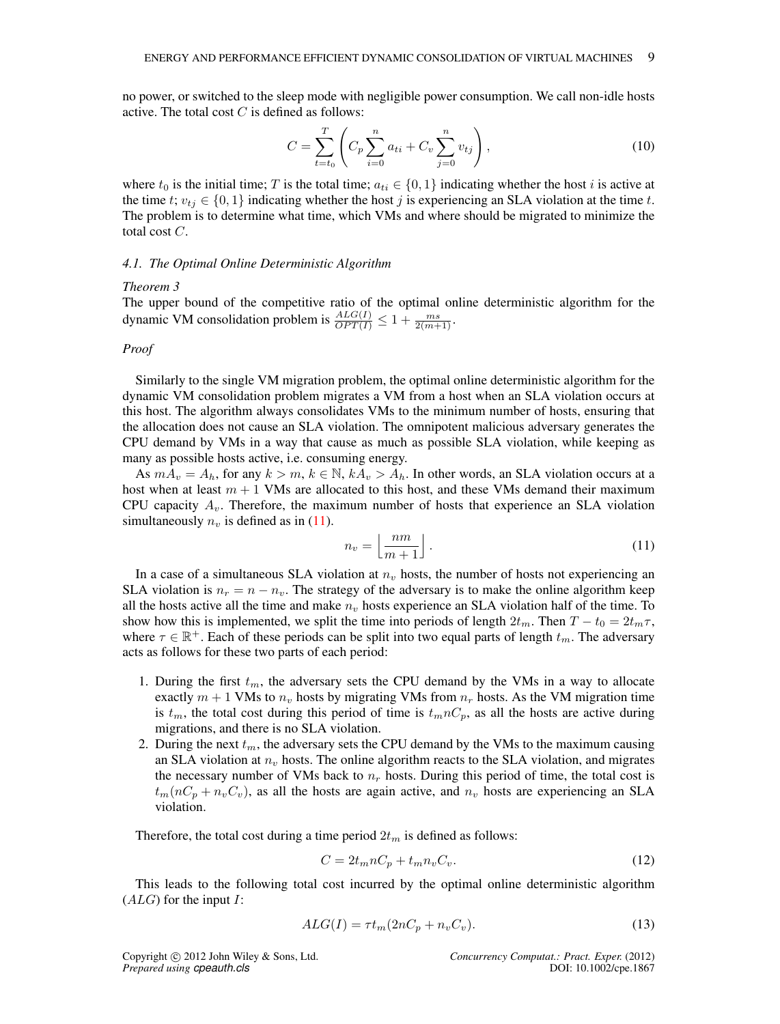no power, or switched to the sleep mode with negligible power consumption. We call non-idle hosts active. The total cost  $C$  is defined as follows:

$$
C = \sum_{t=t_0}^{T} \left( C_p \sum_{i=0}^{n} a_{ti} + C_v \sum_{j=0}^{n} v_{tj} \right),
$$
 (10)

where  $t_0$  is the initial time; T is the total time;  $a_{ti} \in \{0, 1\}$  indicating whether the host i is active at the time t;  $v_{ti} \in \{0,1\}$  indicating whether the host j is experiencing an SLA violation at the time t. The problem is to determine what time, which VMs and where should be migrated to minimize the total cost C.

### *4.1. The Optimal Online Deterministic Algorithm*

### <span id="page-8-1"></span>*Theorem 3*

The upper bound of the competitive ratio of the optimal online deterministic algorithm for the dynamic VM consolidation problem is  $\frac{ALG(I)}{OPT(I)} \leq 1 + \frac{ms}{2(m+1)}$ .

### *Proof*

Similarly to the single VM migration problem, the optimal online deterministic algorithm for the dynamic VM consolidation problem migrates a VM from a host when an SLA violation occurs at this host. The algorithm always consolidates VMs to the minimum number of hosts, ensuring that the allocation does not cause an SLA violation. The omnipotent malicious adversary generates the CPU demand by VMs in a way that cause as much as possible SLA violation, while keeping as many as possible hosts active, i.e. consuming energy.

As  $mA_v = A_h$ , for any  $k > m$ ,  $k \in \mathbb{N}$ ,  $kA_v > A_h$ . In other words, an SLA violation occurs at a host when at least  $m + 1$  VMs are allocated to this host, and these VMs demand their maximum CPU capacity  $A_{\nu}$ . Therefore, the maximum number of hosts that experience an SLA violation simultaneously  $n_v$  is defined as in [\(11\)](#page-8-0).

<span id="page-8-0"></span>
$$
n_v = \left\lfloor \frac{nm}{m+1} \right\rfloor. \tag{11}
$$

In a case of a simultaneous SLA violation at  $n_v$  hosts, the number of hosts not experiencing an SLA violation is  $n_r = n - n_v$ . The strategy of the adversary is to make the online algorithm keep all the hosts active all the time and make  $n_v$  hosts experience an SLA violation half of the time. To show how this is implemented, we split the time into periods of length  $2t_m$ . Then  $T - t_0 = 2t_m\tau$ , where  $\tau \in \mathbb{R}^+$ . Each of these periods can be split into two equal parts of length  $t_m$ . The adversary acts as follows for these two parts of each period:

- 1. During the first  $t_m$ , the adversary sets the CPU demand by the VMs in a way to allocate exactly  $m + 1$  VMs to  $n_v$  hosts by migrating VMs from  $n_v$  hosts. As the VM migration time is  $t_m$ , the total cost during this period of time is  $t_m nC_p$ , as all the hosts are active during migrations, and there is no SLA violation.
- 2. During the next  $t_m$ , the adversary sets the CPU demand by the VMs to the maximum causing an SLA violation at  $n_v$  hosts. The online algorithm reacts to the SLA violation, and migrates the necessary number of VMs back to  $n_r$  hosts. During this period of time, the total cost is  $t_m(nC_p + n_vC_v)$ , as all the hosts are again active, and  $n_v$  hosts are experiencing an SLA violation.

Therefore, the total cost during a time period  $2t_m$  is defined as follows:

$$
C = 2t_m nC_p + t_m n_v C_v.
$$
\n<sup>(12)</sup>

This leads to the following total cost incurred by the optimal online deterministic algorithm  $(ALG)$  for the input I:

$$
ALG(I) = \tau t_m (2nC_p + n_v C_v). \tag{13}
$$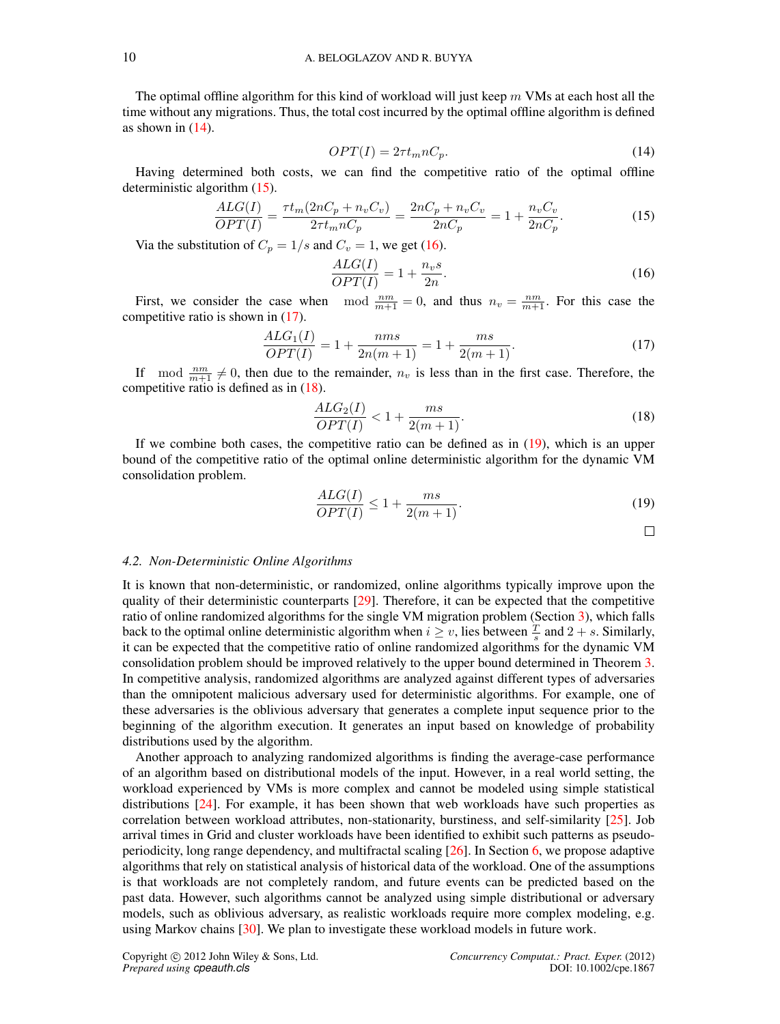The optimal offline algorithm for this kind of workload will just keep  $m$  VMs at each host all the time without any migrations. Thus, the total cost incurred by the optimal offline algorithm is defined as shown in  $(14)$ .

<span id="page-9-0"></span>
$$
OPT(I) = 2\tau t_m nC_p. \tag{14}
$$

Having determined both costs, we can find the competitive ratio of the optimal offline deterministic algorithm [\(15\)](#page-9-1).

<span id="page-9-1"></span>
$$
\frac{ALG(I)}{OPT(I)} = \frac{\tau t_m (2nC_p + n_v C_v)}{2\tau t_m nC_p} = \frac{2nC_p + n_v C_v}{2nC_p} = 1 + \frac{n_v C_v}{2nC_p}.\tag{15}
$$

Via the substitution of  $C_p = 1/s$  and  $C_v = 1$ , we get [\(16\)](#page-9-2).

<span id="page-9-2"></span>
$$
\frac{ALG(I)}{OPT(I)} = 1 + \frac{n_v s}{2n}.\tag{16}
$$

First, we consider the case when  $mod \frac{nm}{m+1} = 0$ , and thus  $n_v = \frac{nm}{m+1}$ . For this case the competitive ratio is shown in [\(17\)](#page-9-3).

<span id="page-9-3"></span>
$$
\frac{ALG_1(I)}{OPT(I)} = 1 + \frac{nms}{2n(m+1)} = 1 + \frac{ms}{2(m+1)}.\tag{17}
$$

If mod  $\frac{nm}{m+1} \neq 0$ , then due to the remainder,  $n_v$  is less than in the first case. Therefore, the competitive ratio is defined as in [\(18\)](#page-9-4).

<span id="page-9-4"></span>
$$
\frac{ALG_2(I)}{OPT(I)} < 1 + \frac{ms}{2(m+1)}.\tag{18}
$$

If we combine both cases, the competitive ratio can be defined as in  $(19)$ , which is an upper bound of the competitive ratio of the optimal online deterministic algorithm for the dynamic VM consolidation problem.

<span id="page-9-5"></span>
$$
\frac{ALG(I)}{OPT(I)} \le 1 + \frac{ms}{2(m+1)}.\tag{19}
$$

$$
\Box
$$

### *4.2. Non-Deterministic Online Algorithms*

It is known that non-deterministic, or randomized, online algorithms typically improve upon the quality of their deterministic counterparts [\[29\]](#page-23-9). Therefore, it can be expected that the competitive ratio of online randomized algorithms for the single VM migration problem (Section [3\)](#page-4-0), which falls back to the optimal online deterministic algorithm when  $i \geq v$ , lies between  $\frac{T}{s}$  and  $2 + s$ . Similarly, it can be expected that the competitive ratio of online randomized algorithms for the dynamic VM consolidation problem should be improved relatively to the upper bound determined in Theorem [3.](#page-8-1) In competitive analysis, randomized algorithms are analyzed against different types of adversaries than the omnipotent malicious adversary used for deterministic algorithms. For example, one of these adversaries is the oblivious adversary that generates a complete input sequence prior to the beginning of the algorithm execution. It generates an input based on knowledge of probability distributions used by the algorithm.

Another approach to analyzing randomized algorithms is finding the average-case performance of an algorithm based on distributional models of the input. However, in a real world setting, the workload experienced by VMs is more complex and cannot be modeled using simple statistical distributions [\[24\]](#page-23-4). For example, it has been shown that web workloads have such properties as correlation between workload attributes, non-stationarity, burstiness, and self-similarity [\[25\]](#page-23-5). Job arrival times in Grid and cluster workloads have been identified to exhibit such patterns as pseudoperiodicity, long range dependency, and multifractal scaling  $[26]$ . In Section [6,](#page-12-0) we propose adaptive algorithms that rely on statistical analysis of historical data of the workload. One of the assumptions is that workloads are not completely random, and future events can be predicted based on the past data. However, such algorithms cannot be analyzed using simple distributional or adversary models, such as oblivious adversary, as realistic workloads require more complex modeling, e.g. using Markov chains [\[30\]](#page-23-10). We plan to investigate these workload models in future work.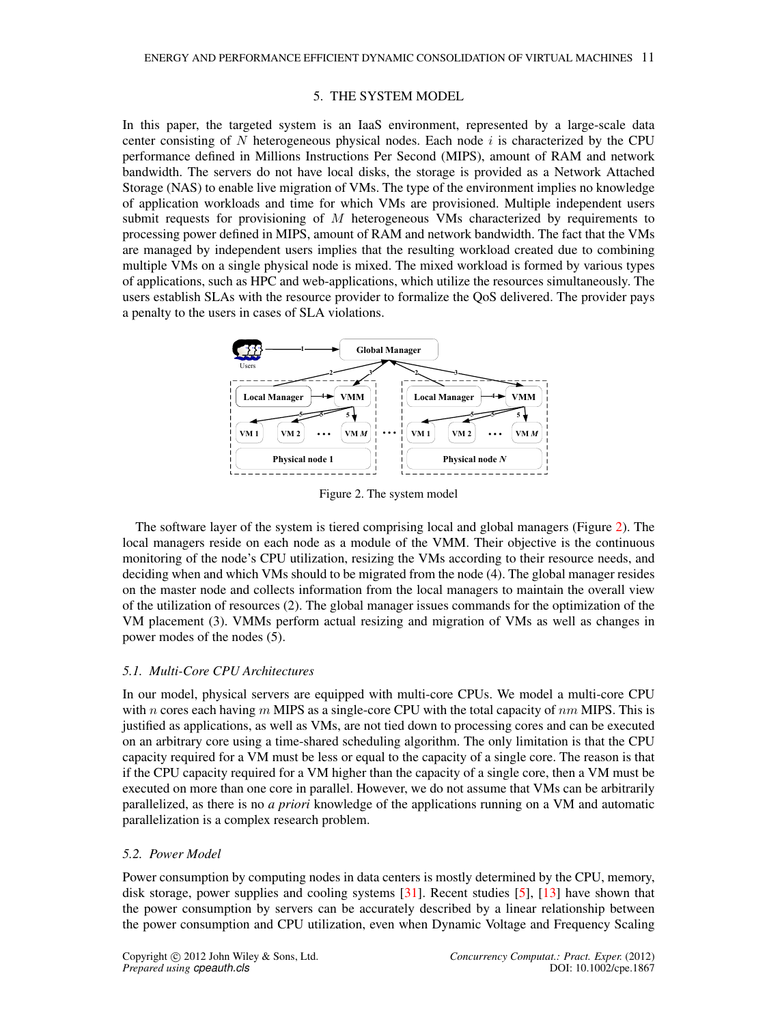# 5. THE SYSTEM MODEL

<span id="page-10-0"></span>In this paper, the targeted system is an IaaS environment, represented by a large-scale data center consisting of  $N$  heterogeneous physical nodes. Each node  $i$  is characterized by the CPU performance defined in Millions Instructions Per Second (MIPS), amount of RAM and network bandwidth. The servers do not have local disks, the storage is provided as a Network Attached Storage (NAS) to enable live migration of VMs. The type of the environment implies no knowledge of application workloads and time for which VMs are provisioned. Multiple independent users submit requests for provisioning of M heterogeneous VMs characterized by requirements to processing power defined in MIPS, amount of RAM and network bandwidth. The fact that the VMs are managed by independent users implies that the resulting workload created due to combining multiple VMs on a single physical node is mixed. The mixed workload is formed by various types of applications, such as HPC and web-applications, which utilize the resources simultaneously. The users establish SLAs with the resource provider to formalize the QoS delivered. The provider pays a penalty to the users in cases of SLA violations.

<span id="page-10-1"></span>

Figure 2. The system model

The software layer of the system is tiered comprising local and global managers (Figure [2\)](#page-10-1). The local managers reside on each node as a module of the VMM. Their objective is the continuous monitoring of the node's CPU utilization, resizing the VMs according to their resource needs, and deciding when and which VMs should to be migrated from the node (4). The global manager resides on the master node and collects information from the local managers to maintain the overall view of the utilization of resources (2). The global manager issues commands for the optimization of the VM placement (3). VMMs perform actual resizing and migration of VMs as well as changes in power modes of the nodes  $(5)$ .

# *5.1. Multi-Core CPU Architectures*

In our model, physical servers are equipped with multi-core CPUs. We model a multi-core CPU with n cores each having m MIPS as a single-core CPU with the total capacity of  $nm$  MIPS. This is justified as applications, as well as VMs, are not tied down to processing cores and can be executed on an arbitrary core using a time-shared scheduling algorithm. The only limitation is that the CPU capacity required for a VM must be less or equal to the capacity of a single core. The reason is that if the CPU capacity required for a VM higher than the capacity of a single core, then a VM must be executed on more than one core in parallel. However, we do not assume that VMs can be arbitrarily parallelized, as there is no *a priori* knowledge of the applications running on a VM and automatic parallelization is a complex research problem.

# <span id="page-10-2"></span>*5.2. Power Model*

Power consumption by computing nodes in data centers is mostly determined by the CPU, memory, disk storage, power supplies and cooling systems [\[31\]](#page-23-11). Recent studies [\[5\]](#page-22-4), [\[13\]](#page-22-12) have shown that the power consumption by servers can be accurately described by a linear relationship between the power consumption and CPU utilization, even when Dynamic Voltage and Frequency Scaling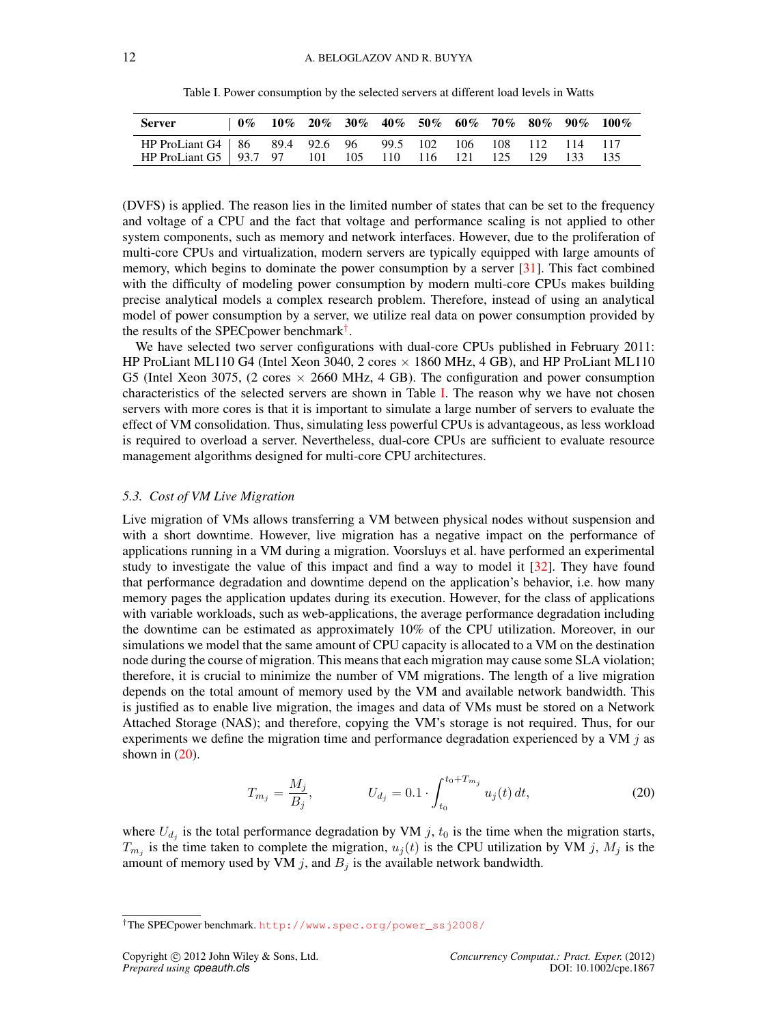<span id="page-11-1"></span>

| v<br>× |
|--------|
|        |
| ٠      |
|        |

| Server                                                        |  |  |  |  |  | $0\%$ 10% 20% 30% 40% 50% 60% 70% 80% 90% 100% |
|---------------------------------------------------------------|--|--|--|--|--|------------------------------------------------|
| HP ProLiant G4   86 89.4 92.6 96 99.5 102 106 108 112 114 117 |  |  |  |  |  |                                                |
| HP ProLiant G5   93.7 97 101 105 110 116 121 125 129 133 135  |  |  |  |  |  |                                                |

Table I. Power consumption by the selected servers at different load levels in Watts

(DVFS) is applied. The reason lies in the limited number of states that can be set to the frequency and voltage of a CPU and the fact that voltage and performance scaling is not applied to other system components, such as memory and network interfaces. However, due to the proliferation of multi-core CPUs and virtualization, modern servers are typically equipped with large amounts of memory, which begins to dominate the power consumption by a server [\[31\]](#page-23-11). This fact combined with the difficulty of modeling power consumption by modern multi-core CPUs makes building precise analytical models a complex research problem. Therefore, instead of using an analytical model of power consumption by a server, we utilize real data on power consumption provided by the results of the SPECpower benchmark[†](#page-11-0) .

We have selected two server configurations with dual-core CPUs published in February 2011: HP ProLiant ML110 G4 (Intel Xeon 3040, 2 cores  $\times$  1860 MHz, 4 GB), and HP ProLiant ML110 G5 (Intel Xeon 3075, (2 cores  $\times$  2660 MHz, 4 GB). The configuration and power consumption characteristics of the selected servers are shown in Table [I.](#page-11-1) The reason why we have not chosen servers with more cores is that it is important to simulate a large number of servers to evaluate the effect of VM consolidation. Thus, simulating less powerful CPUs is advantageous, as less workload is required to overload a server. Nevertheless, dual-core CPUs are sufficient to evaluate resource management algorithms designed for multi-core CPU architectures.

## *5.3. Cost of VM Live Migration*

Live migration of VMs allows transferring a VM between physical nodes without suspension and with a short downtime. However, live migration has a negative impact on the performance of applications running in a VM during a migration. Voorsluys et al. have performed an experimental study to investigate the value of this impact and find a way to model it [\[32\]](#page-23-12). They have found that performance degradation and downtime depend on the application's behavior, i.e. how many memory pages the application updates during its execution. However, for the class of applications with variable workloads, such as web-applications, the average performance degradation including the downtime can be estimated as approximately 10% of the CPU utilization. Moreover, in our simulations we model that the same amount of CPU capacity is allocated to a VM on the destination node during the course of migration. This means that each migration may cause some SLA violation; therefore, it is crucial to minimize the number of VM migrations. The length of a live migration depends on the total amount of memory used by the VM and available network bandwidth. This is justified as to enable live migration, the images and data of VMs must be stored on a Network Attached Storage (NAS); and therefore, copying the VM's storage is not required. Thus, for our experiments we define the migration time and performance degradation experienced by a VM  $j$  as shown in  $(20)$ .

<span id="page-11-2"></span>
$$
T_{m_j} = \frac{M_j}{B_j}, \qquad U_{d_j} = 0.1 \cdot \int_{t_0}^{t_0 + T_{m_j}} u_j(t) dt, \qquad (20)
$$

where  $U_{d_j}$  is the total performance degradation by VM j,  $t_0$  is the time when the migration starts,  $T_{m_j}$  is the time taken to complete the migration,  $u_j(t)$  is the CPU utilization by VM j,  $M_j$  is the amount of memory used by VM  $j$ , and  $B_j$  is the available network bandwidth.

<span id="page-11-0"></span><sup>†</sup>The SPECpower benchmark. [http://www.spec.org/power\\_ssj2008/](http://www.spec.org/power_ssj2008/)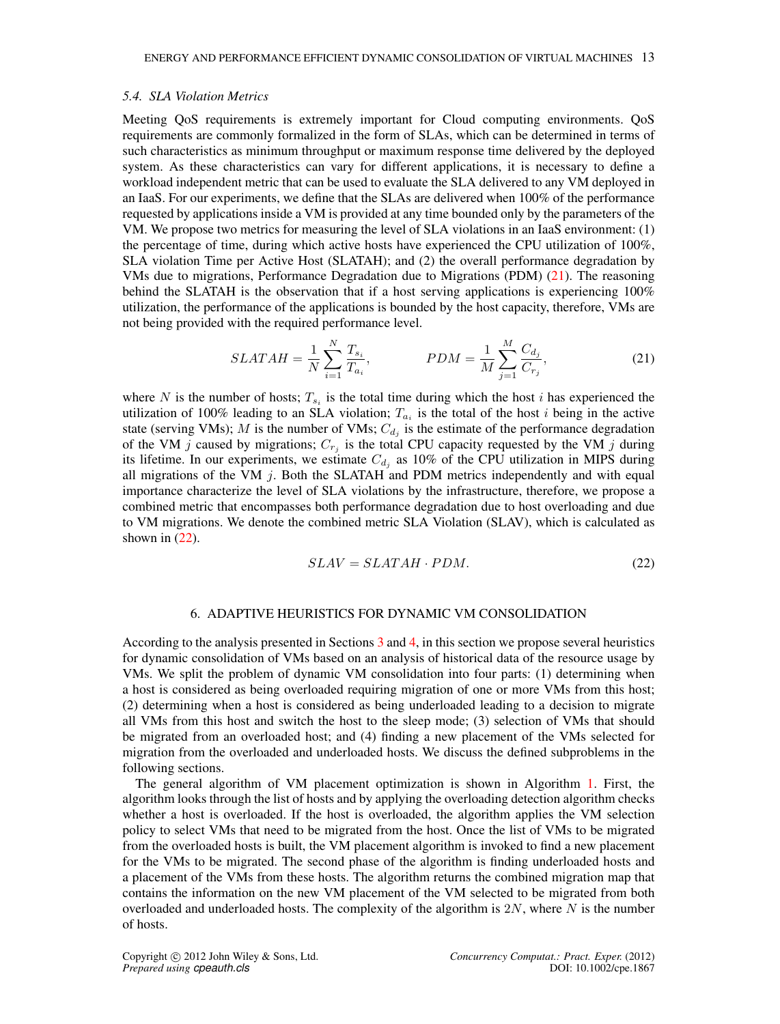### <span id="page-12-3"></span>*5.4. SLA Violation Metrics*

Meeting QoS requirements is extremely important for Cloud computing environments. QoS requirements are commonly formalized in the form of SLAs, which can be determined in terms of such characteristics as minimum throughput or maximum response time delivered by the deployed system. As these characteristics can vary for different applications, it is necessary to define a workload independent metric that can be used to evaluate the SLA delivered to any VM deployed in an IaaS. For our experiments, we define that the SLAs are delivered when 100% of the performance requested by applications inside a VM is provided at any time bounded only by the parameters of the VM. We propose two metrics for measuring the level of SLA violations in an IaaS environment: (1) the percentage of time, during which active hosts have experienced the CPU utilization of 100%, SLA violation Time per Active Host (SLATAH); and (2) the overall performance degradation by VMs due to migrations, Performance Degradation due to Migrations (PDM) [\(21\)](#page-12-1). The reasoning behind the SLATAH is the observation that if a host serving applications is experiencing 100% utilization, the performance of the applications is bounded by the host capacity, therefore, VMs are not being provided with the required performance level.

<span id="page-12-1"></span>
$$
SLATAH = \frac{1}{N} \sum_{i=1}^{N} \frac{T_{s_i}}{T_{a_i}}, \qquad PDM = \frac{1}{M} \sum_{j=1}^{M} \frac{C_{d_j}}{C_{r_j}}, \qquad (21)
$$

where N is the number of hosts;  $T_{s_i}$  is the total time during which the host i has experienced the utilization of 100% leading to an SLA violation;  $T_{a_i}$  is the total of the host i being in the active state (serving VMs); M is the number of VMs;  $C_{d_j}$  is the estimate of the performance degradation of the VM j caused by migrations;  $C_{r_j}$  is the total CPU capacity requested by the VM j during its lifetime. In our experiments, we estimate  $C_{d_j}$  as 10% of the CPU utilization in MIPS during all migrations of the VM  $j$ . Both the SLATAH and PDM metrics independently and with equal importance characterize the level of SLA violations by the infrastructure, therefore, we propose a combined metric that encompasses both performance degradation due to host overloading and due to VM migrations. We denote the combined metric SLA Violation (SLAV), which is calculated as shown in  $(22)$ .

<span id="page-12-2"></span>
$$
SLAV = SLATAH \cdot PDM. \tag{22}
$$

# 6. ADAPTIVE HEURISTICS FOR DYNAMIC VM CONSOLIDATION

<span id="page-12-0"></span>According to the analysis presented in Sections [3](#page-4-0) and [4,](#page-7-0) in this section we propose several heuristics for dynamic consolidation of VMs based on an analysis of historical data of the resource usage by VMs. We split the problem of dynamic VM consolidation into four parts: (1) determining when a host is considered as being overloaded requiring migration of one or more VMs from this host; (2) determining when a host is considered as being underloaded leading to a decision to migrate all VMs from this host and switch the host to the sleep mode; (3) selection of VMs that should be migrated from an overloaded host; and (4) finding a new placement of the VMs selected for migration from the overloaded and underloaded hosts. We discuss the defined subproblems in the following sections.

The general algorithm of VM placement optimization is shown in Algorithm [1.](#page-13-0) First, the algorithm looks through the list of hosts and by applying the overloading detection algorithm checks whether a host is overloaded. If the host is overloaded, the algorithm applies the VM selection policy to select VMs that need to be migrated from the host. Once the list of VMs to be migrated from the overloaded hosts is built, the VM placement algorithm is invoked to find a new placement for the VMs to be migrated. The second phase of the algorithm is finding underloaded hosts and a placement of the VMs from these hosts. The algorithm returns the combined migration map that contains the information on the new VM placement of the VM selected to be migrated from both overloaded and underloaded hosts. The complexity of the algorithm is  $2N$ , where N is the number of hosts.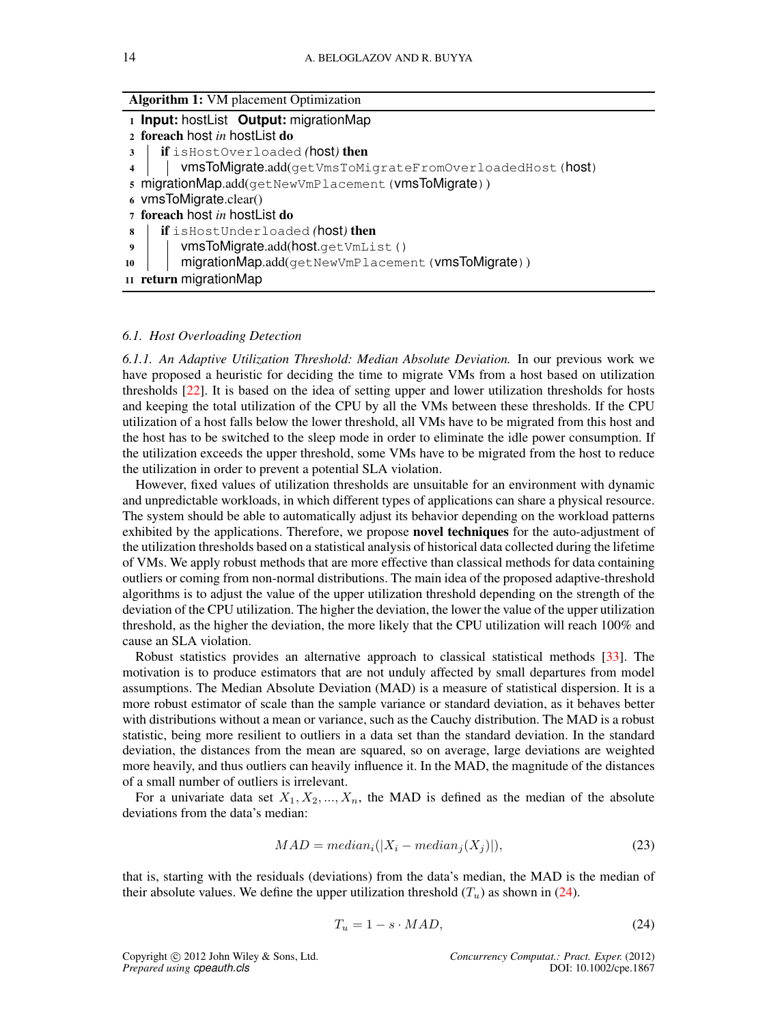| <b>Algorithm 1:</b> VM placement Optimization                                       |
|-------------------------------------------------------------------------------------|
| 1 Input: hostList Output: migrationMap                                              |
| 2 foreach host in hostList do                                                       |
| if is HostOverloaded (host) then<br>3                                               |
| vmsToMigrate.add(getVmsToMigrateFromOverloadedHost(host)<br>$\overline{\mathbf{4}}$ |
| 5 migrationMap.add(getNewVmPlacement(vmsToMigrate))                                 |
| $6$ vmsToMigrate.clear()                                                            |
| 7 foreach host in hostList do                                                       |
| if is Host Underloaded (host) then<br>8                                             |
| vmsToMigrate.add(host.getVmList()<br>9                                              |
| migrationMap.add(qetNewVmPlacement(vmsToMigrate))<br>10                             |
| 11 return migrationMap                                                              |
|                                                                                     |

# <span id="page-13-0"></span>*6.1. Host Overloading Detection*

<span id="page-13-2"></span>*6.1.1. An Adaptive Utilization Threshold: Median Absolute Deviation.* In our previous work we have proposed a heuristic for deciding the time to migrate VMs from a host based on utilization thresholds [\[22\]](#page-23-2). It is based on the idea of setting upper and lower utilization thresholds for hosts and keeping the total utilization of the CPU by all the VMs between these thresholds. If the CPU utilization of a host falls below the lower threshold, all VMs have to be migrated from this host and the host has to be switched to the sleep mode in order to eliminate the idle power consumption. If the utilization exceeds the upper threshold, some VMs have to be migrated from the host to reduce the utilization in order to prevent a potential SLA violation.

However, fixed values of utilization thresholds are unsuitable for an environment with dynamic and unpredictable workloads, in which different types of applications can share a physical resource. The system should be able to automatically adjust its behavior depending on the workload patterns exhibited by the applications. Therefore, we propose novel techniques for the auto-adjustment of the utilization thresholds based on a statistical analysis of historical data collected during the lifetime of VMs. We apply robust methods that are more effective than classical methods for data containing outliers or coming from non-normal distributions. The main idea of the proposed adaptive-threshold algorithms is to adjust the value of the upper utilization threshold depending on the strength of the deviation of the CPU utilization. The higher the deviation, the lower the value of the upper utilization threshold, as the higher the deviation, the more likely that the CPU utilization will reach 100% and cause an SLA violation.

Robust statistics provides an alternative approach to classical statistical methods [\[33\]](#page-23-13). The motivation is to produce estimators that are not unduly affected by small departures from model assumptions. The Median Absolute Deviation (MAD) is a measure of statistical dispersion. It is a more robust estimator of scale than the sample variance or standard deviation, as it behaves better with distributions without a mean or variance, such as the Cauchy distribution. The MAD is a robust statistic, being more resilient to outliers in a data set than the standard deviation. In the standard deviation, the distances from the mean are squared, so on average, large deviations are weighted more heavily, and thus outliers can heavily influence it. In the MAD, the magnitude of the distances of a small number of outliers is irrelevant.

For a univariate data set  $X_1, X_2, ..., X_n$ , the MAD is defined as the median of the absolute deviations from the data's median:

$$
MAD = mediani(|Xi - medianj(Xj)|),
$$
\n(23)

that is, starting with the residuals (deviations) from the data's median, the MAD is the median of their absolute values. We define the upper utilization threshold  $(T_u)$  as shown in [\(24\)](#page-13-1).

<span id="page-13-1"></span>
$$
T_u = 1 - s \cdot MAD,\t\t(24)
$$

Copyright c 2012 John Wiley & Sons, Ltd. *Concurrency Computat.: Pract. Exper.* (2012) *Prepared using cpeauth.cls* DOI: 10.1002/cpe.1867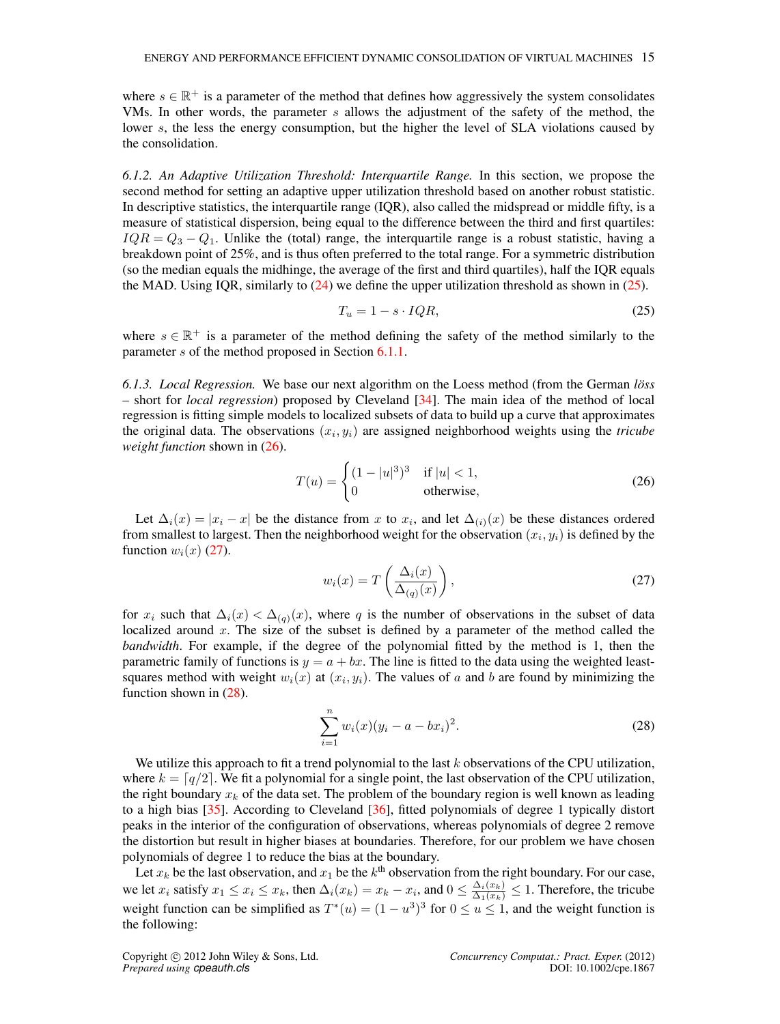where  $s \in \mathbb{R}^+$  is a parameter of the method that defines how aggressively the system consolidates VMs. In other words, the parameter s allows the adjustment of the safety of the method, the lower s, the less the energy consumption, but the higher the level of SLA violations caused by the consolidation.

*6.1.2. An Adaptive Utilization Threshold: Interquartile Range.* In this section, we propose the second method for setting an adaptive upper utilization threshold based on another robust statistic. In descriptive statistics, the interquartile range (IQR), also called the midspread or middle fifty, is a measure of statistical dispersion, being equal to the difference between the third and first quartiles:  $IQR = Q_3 - Q_1$ . Unlike the (total) range, the interquartile range is a robust statistic, having a breakdown point of 25%, and is thus often preferred to the total range. For a symmetric distribution (so the median equals the midhinge, the average of the first and third quartiles), half the IQR equals the MAD. Using IQR, similarly to [\(24\)](#page-13-1) we define the upper utilization threshold as shown in [\(25\)](#page-14-0).

<span id="page-14-0"></span>
$$
T_u = 1 - s \cdot IQR,\tag{25}
$$

where  $s \in \mathbb{R}^+$  is a parameter of the method defining the safety of the method similarly to the parameter s of the method proposed in Section [6.1.1.](#page-13-2)

<span id="page-14-4"></span>*6.1.3. Local Regression.* We base our next algorithm on the Loess method (from the German *loss ¨* – short for *local regression*) proposed by Cleveland [\[34\]](#page-23-14). The main idea of the method of local regression is fitting simple models to localized subsets of data to build up a curve that approximates the original data. The observations  $(x_i, y_i)$  are assigned neighborhood weights using the *tricube weight function* shown in [\(26\)](#page-14-1).

<span id="page-14-1"></span>
$$
T(u) = \begin{cases} (1-|u|^3)^3 & \text{if } |u| < 1, \\ 0 & \text{otherwise,} \end{cases}
$$
 (26)

Let  $\Delta_i(x) = |x_i - x|$  be the distance from x to  $x_i$ , and let  $\Delta_{(i)}(x)$  be these distances ordered from smallest to largest. Then the neighborhood weight for the observation  $(x_i, y_i)$  is defined by the function  $w_i(x)$  [\(27\)](#page-14-2).

<span id="page-14-2"></span>
$$
w_i(x) = T\left(\frac{\Delta_i(x)}{\Delta_{(q)}(x)}\right),\tag{27}
$$

for  $x_i$  such that  $\Delta_i(x) < \Delta_{(q)}(x)$ , where q is the number of observations in the subset of data localized around  $x$ . The size of the subset is defined by a parameter of the method called the *bandwidth*. For example, if the degree of the polynomial fitted by the method is 1, then the parametric family of functions is  $y = a + bx$ . The line is fitted to the data using the weighted leastsquares method with weight  $w_i(x)$  at  $(x_i, y_i)$ . The values of a and b are found by minimizing the function shown in [\(28\)](#page-14-3).

<span id="page-14-3"></span>
$$
\sum_{i=1}^{n} w_i(x)(y_i - a - bx_i)^2.
$$
 (28)

We utilize this approach to fit a trend polynomial to the last  $k$  observations of the CPU utilization, where  $k = \lfloor q/2 \rfloor$ . We fit a polynomial for a single point, the last observation of the CPU utilization, the right boundary  $x_k$  of the data set. The problem of the boundary region is well known as leading to a high bias [\[35\]](#page-23-15). According to Cleveland [\[36\]](#page-23-16), fitted polynomials of degree 1 typically distort peaks in the interior of the configuration of observations, whereas polynomials of degree 2 remove the distortion but result in higher biases at boundaries. Therefore, for our problem we have chosen polynomials of degree 1 to reduce the bias at the boundary.

Let  $x_k$  be the last observation, and  $x_1$  be the  $k^{\text{th}}$  observation from the right boundary. For our case, we let  $x_i$  satisfy  $x_1 \le x_i \le x_k$ , then  $\Delta_i(x_k) = x_k - x_i$ , and  $0 \le \frac{\Delta_i(x_k)}{\Delta_1(x_k)} \le 1$ . Therefore, the tricube weight function can be simplified as  $T^*(u) = (1 - u^3)^3$  for  $0 \le u \le 1$ , and the weight function is the following: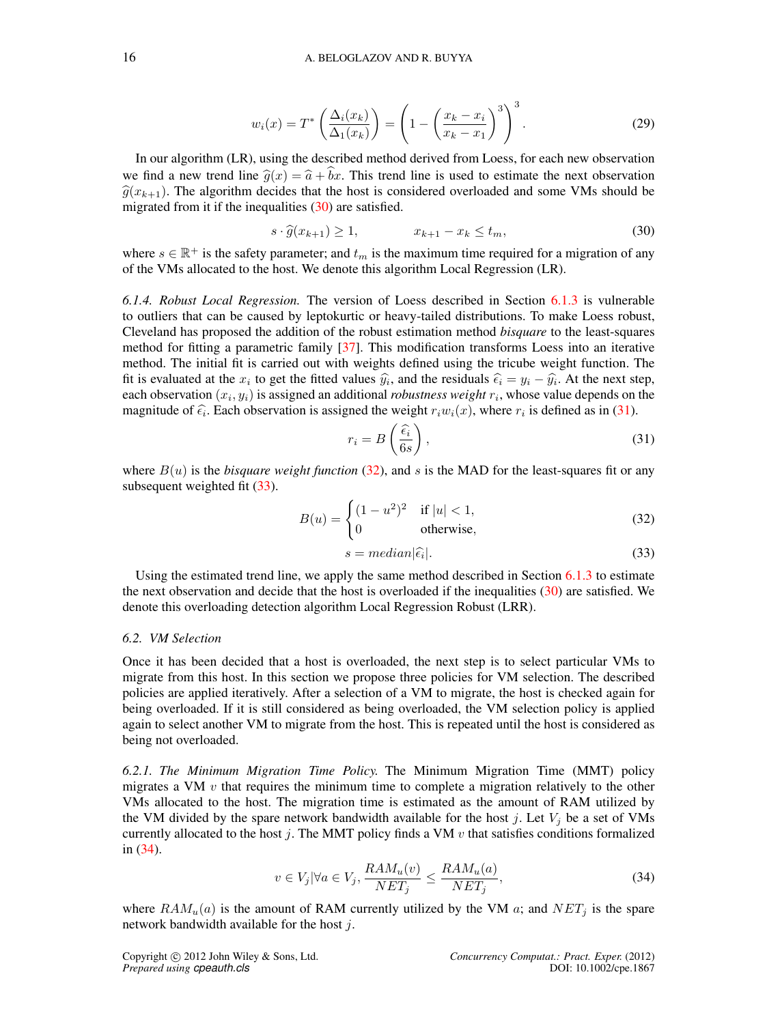$$
w_i(x) = T^* \left( \frac{\Delta_i(x_k)}{\Delta_1(x_k)} \right) = \left( 1 - \left( \frac{x_k - x_i}{x_k - x_1} \right)^3 \right)^3.
$$
 (29)

In our algorithm (LR), using the described method derived from Loess, for each new observation we find a new trend line  $\hat{q}(x) = \hat{a} + \hat{b}x$ . This trend line is used to estimate the next observation  $\hat{g}(x_{k+1})$ . The algorithm decides that the host is considered overloaded and some VMs should be migrated from it if the inequalities [\(30\)](#page-15-0) are satisfied.

<span id="page-15-0"></span>
$$
s \cdot \widehat{g}(x_{k+1}) \ge 1, \qquad x_{k+1} - x_k \le t_m,
$$
\n<sup>(30)</sup>

where  $s \in \mathbb{R}^+$  is the safety parameter; and  $t_m$  is the maximum time required for a migration of any of the VMs allocated to the host. We denote this algorithm Local Regression (LR).

*6.1.4. Robust Local Regression.* The version of Loess described in Section [6.1.3](#page-14-4) is vulnerable to outliers that can be caused by leptokurtic or heavy-tailed distributions. To make Loess robust, Cleveland has proposed the addition of the robust estimation method *bisquare* to the least-squares method for fitting a parametric family [\[37\]](#page-23-17). This modification transforms Loess into an iterative method. The initial fit is carried out with weights defined using the tricube weight function. The fit is evaluated at the  $x_i$  to get the fitted values  $\hat{y}_i$ , and the residuals  $\hat{\epsilon}_i = y_i - \hat{y}_i$ . At the next step, each observation  $(x_i, y_i)$  is assigned an additional *robustness weight*  $r_i$ , whose value depends on the magnitude of  $\hat{\epsilon}_i$ . Each observation is assigned the weight  $r_i w_i(x)$ , where  $r_i$  is defined as in [\(31\)](#page-15-1).

<span id="page-15-1"></span>
$$
r_i = B\left(\frac{\hat{\epsilon}_i}{6s}\right),\tag{31}
$$

where  $B(u)$  is the *bisquare weight function* [\(32\)](#page-15-2), and s is the MAD for the least-squares fit or any subsequent weighted fit  $(33)$ .

<span id="page-15-2"></span>
$$
B(u) = \begin{cases} (1 - u^2)^2 & \text{if } |u| < 1, \\ 0 & \text{otherwise,} \end{cases}
$$
 (32)

<span id="page-15-3"></span>
$$
s = median|\hat{\epsilon}_i|.\tag{33}
$$

Using the estimated trend line, we apply the same method described in Section [6.1.3](#page-14-4) to estimate the next observation and decide that the host is overloaded if the inequalities  $(30)$  are satisfied. We denote this overloading detection algorithm Local Regression Robust (LRR).

### *6.2. VM Selection*

Once it has been decided that a host is overloaded, the next step is to select particular VMs to migrate from this host. In this section we propose three policies for VM selection. The described policies are applied iteratively. After a selection of a VM to migrate, the host is checked again for being overloaded. If it is still considered as being overloaded, the VM selection policy is applied again to select another VM to migrate from the host. This is repeated until the host is considered as being not overloaded.

*6.2.1. The Minimum Migration Time Policy.* The Minimum Migration Time (MMT) policy migrates a VM  $v$  that requires the minimum time to complete a migration relatively to the other VMs allocated to the host. The migration time is estimated as the amount of RAM utilized by the VM divided by the spare network bandwidth available for the host j. Let  $V_j$  be a set of VMs currently allocated to the host j. The MMT policy finds a VM  $v$  that satisfies conditions formalized in [\(34\)](#page-15-4).

<span id="page-15-4"></span>
$$
v \in V_j | \forall a \in V_j, \frac{RAM_u(v)}{NET_j} \le \frac{RAM_u(a)}{NET_j}, \tag{34}
$$

where  $RAM_u(a)$  is the amount of RAM currently utilized by the VM a; and  $NET_j$  is the spare network bandwidth available for the host j.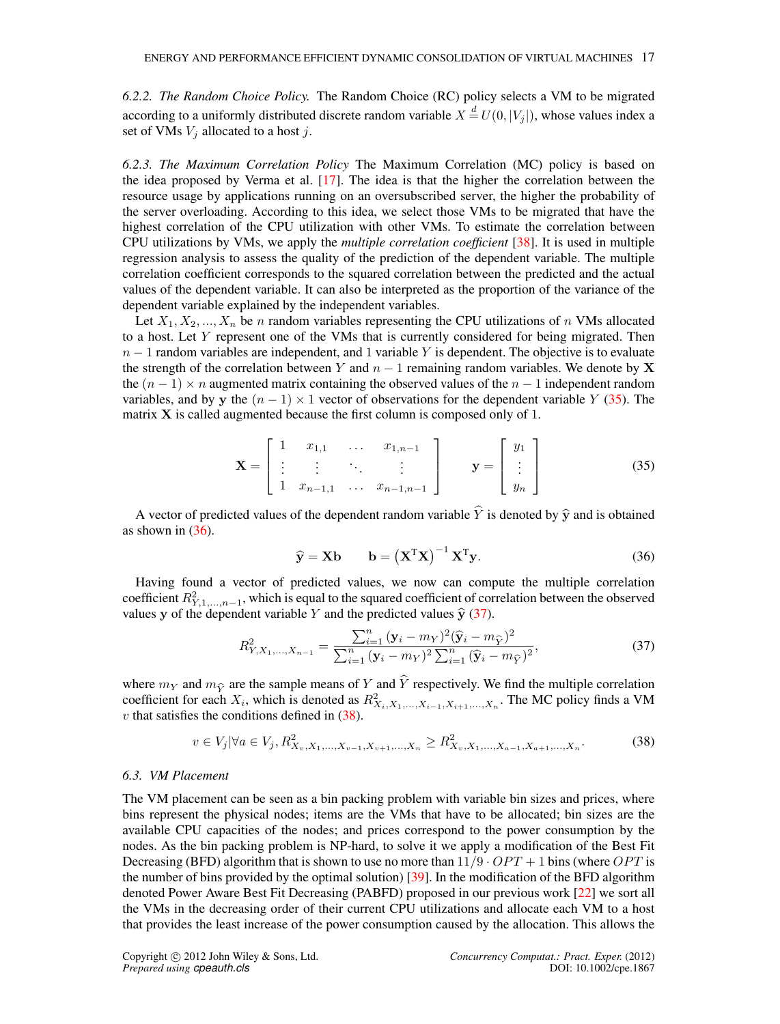*6.2.2. The Random Choice Policy.* The Random Choice (RC) policy selects a VM to be migrated according to a uniformly distributed discrete random variable  $X \stackrel{d}{=} U(0, |V_j|)$ , whose values index a set of VMs  $V_i$  allocated to a host j.

*6.2.3. The Maximum Correlation Policy* The Maximum Correlation (MC) policy is based on the idea proposed by Verma et al. [\[17\]](#page-22-16). The idea is that the higher the correlation between the resource usage by applications running on an oversubscribed server, the higher the probability of the server overloading. According to this idea, we select those VMs to be migrated that have the highest correlation of the CPU utilization with other VMs. To estimate the correlation between CPU utilizations by VMs, we apply the *multiple correlation coefficient* [\[38\]](#page-23-18). It is used in multiple regression analysis to assess the quality of the prediction of the dependent variable. The multiple correlation coefficient corresponds to the squared correlation between the predicted and the actual values of the dependent variable. It can also be interpreted as the proportion of the variance of the dependent variable explained by the independent variables.

Let  $X_1, X_2, ..., X_n$  be n random variables representing the CPU utilizations of n VMs allocated to a host. Let Y represent one of the VMs that is currently considered for being migrated. Then  $n - 1$  random variables are independent, and 1 variable Y is dependent. The objective is to evaluate the strength of the correlation between Y and  $n-1$  remaining random variables. We denote by X the  $(n - 1) \times n$  augmented matrix containing the observed values of the  $n - 1$  independent random variables, and by y the  $(n - 1) \times 1$  vector of observations for the dependent variable Y [\(35\)](#page-16-0). The matrix  $X$  is called augmented because the first column is composed only of 1.

<span id="page-16-0"></span>
$$
\mathbf{X} = \begin{bmatrix} 1 & x_{1,1} & \dots & x_{1,n-1} \\ \vdots & \vdots & \ddots & \vdots \\ 1 & x_{n-1,1} & \dots & x_{n-1,n-1} \end{bmatrix} \qquad \mathbf{y} = \begin{bmatrix} y_1 \\ \vdots \\ y_n \end{bmatrix}
$$
(35)

A vector of predicted values of the dependent random variable  $\hat{Y}$  is denoted by  $\hat{y}$  and is obtained as shown in  $(36)$ .

<span id="page-16-1"></span>
$$
\hat{\mathbf{y}} = \mathbf{X}\mathbf{b} \qquad \mathbf{b} = \left(\mathbf{X}^{\mathrm{T}}\mathbf{X}\right)^{-1}\mathbf{X}^{\mathrm{T}}\mathbf{y}.\tag{36}
$$

Having found a vector of predicted values, we now can compute the multiple correlation coefficient  $R_{Y,1,\dots,n-1}^2$ , which is equal to the squared coefficient of correlation between the observed values y of the dependent variable Y and the predicted values  $\hat{y}$  [\(37\)](#page-16-2).

<span id="page-16-2"></span>
$$
R_{Y,X_1,\dots,X_{n-1}}^2 = \frac{\sum_{i=1}^n (\mathbf{y}_i - m_Y)^2 (\hat{\mathbf{y}}_i - m_{\hat{Y}})^2}{\sum_{i=1}^n (\mathbf{y}_i - m_Y)^2 \sum_{i=1}^n (\hat{\mathbf{y}}_i - m_{\hat{Y}})^2},\tag{37}
$$

where  $m_Y$  and  $m_{\hat{Y}}$  are the sample means of Y and  $\hat{Y}$  respectively. We find the multiple correlation coefficient for each  $X_i$ , which is denoted as  $R^2_{X_i,X_1,\dots,X_{i-1},X_{i+1},\dots,X_n}$ . The MC policy finds a VM  $v$  that satisfies the conditions defined in  $(38)$ .

<span id="page-16-3"></span>
$$
v \in V_j | \forall a \in V_j, R_{X_v, X_1, \dots, X_{v-1}, X_{v+1}, \dots, X_n}^2 \ge R_{X_v, X_1, \dots, X_{a-1}, X_{a+1}, \dots, X_n}^2.
$$
 (38)

# *6.3. VM Placement*

The VM placement can be seen as a bin packing problem with variable bin sizes and prices, where bins represent the physical nodes; items are the VMs that have to be allocated; bin sizes are the available CPU capacities of the nodes; and prices correspond to the power consumption by the nodes. As the bin packing problem is NP-hard, to solve it we apply a modification of the Best Fit Decreasing (BFD) algorithm that is shown to use no more than  $11/9 \cdot OPT + 1$  bins (where OPT is the number of bins provided by the optimal solution) [\[39\]](#page-23-19). In the modification of the BFD algorithm denoted Power Aware Best Fit Decreasing (PABFD) proposed in our previous work [\[22\]](#page-23-2) we sort all the VMs in the decreasing order of their current CPU utilizations and allocate each VM to a host that provides the least increase of the power consumption caused by the allocation. This allows the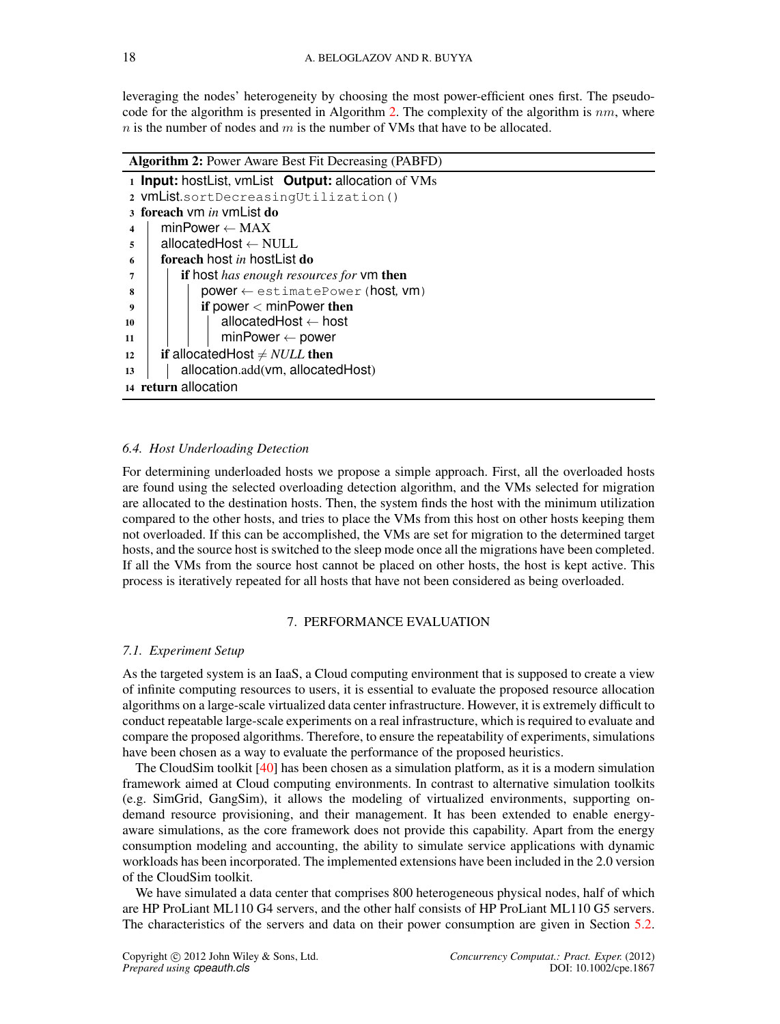leveraging the nodes' heterogeneity by choosing the most power-efficient ones first. The pseudo-code for the algorithm is presented in Algorithm [2.](#page-17-1) The complexity of the algorithm is  $nm$ , where n is the number of nodes and m is the number of VMs that have to be allocated.

Algorithm 2: Power Aware Best Fit Decreasing (PABFD)

|    | 1 <b>Input:</b> hostList, vmList <b>Output:</b> allocation of VMs |  |  |  |  |  |
|----|-------------------------------------------------------------------|--|--|--|--|--|
|    | 2 vmList.sortDecreasingUtilization()                              |  |  |  |  |  |
|    | 3 foreach vm <i>in</i> vm List do                                 |  |  |  |  |  |
| 4  | $minPower \leftarrow MAX$                                         |  |  |  |  |  |
| 5  | allocated $\leftarrow$ NULL                                       |  |  |  |  |  |
| 6  | foreach host in hostList do                                       |  |  |  |  |  |
| 7  | if host has enough resources for vm then                          |  |  |  |  |  |
| 8  | $power \leftarrow$ estimatePower (host, vm)                       |  |  |  |  |  |
| 9  | if power $<$ minPower then                                        |  |  |  |  |  |
| 10 | allocated Host $\leftarrow$ host                                  |  |  |  |  |  |
| 11 | $minPower \leftarrow power$                                       |  |  |  |  |  |
| 12 | if allocated Host $\neq NULL$ then                                |  |  |  |  |  |
| 13 | allocation.add(vm, allocatedHost)                                 |  |  |  |  |  |
|    | 14 return allocation                                              |  |  |  |  |  |

# <span id="page-17-1"></span>*6.4. Host Underloading Detection*

For determining underloaded hosts we propose a simple approach. First, all the overloaded hosts are found using the selected overloading detection algorithm, and the VMs selected for migration are allocated to the destination hosts. Then, the system finds the host with the minimum utilization compared to the other hosts, and tries to place the VMs from this host on other hosts keeping them not overloaded. If this can be accomplished, the VMs are set for migration to the determined target hosts, and the source host is switched to the sleep mode once all the migrations have been completed. If all the VMs from the source host cannot be placed on other hosts, the host is kept active. This process is iteratively repeated for all hosts that have not been considered as being overloaded.

### 7. PERFORMANCE EVALUATION

### <span id="page-17-0"></span>*7.1. Experiment Setup*

As the targeted system is an IaaS, a Cloud computing environment that is supposed to create a view of infinite computing resources to users, it is essential to evaluate the proposed resource allocation algorithms on a large-scale virtualized data center infrastructure. However, it is extremely difficult to conduct repeatable large-scale experiments on a real infrastructure, which is required to evaluate and compare the proposed algorithms. Therefore, to ensure the repeatability of experiments, simulations have been chosen as a way to evaluate the performance of the proposed heuristics.

The CloudSim toolkit [\[40\]](#page-23-20) has been chosen as a simulation platform, as it is a modern simulation framework aimed at Cloud computing environments. In contrast to alternative simulation toolkits (e.g. SimGrid, GangSim), it allows the modeling of virtualized environments, supporting ondemand resource provisioning, and their management. It has been extended to enable energyaware simulations, as the core framework does not provide this capability. Apart from the energy consumption modeling and accounting, the ability to simulate service applications with dynamic workloads has been incorporated. The implemented extensions have been included in the 2.0 version of the CloudSim toolkit.

We have simulated a data center that comprises 800 heterogeneous physical nodes, half of which are HP ProLiant ML110 G4 servers, and the other half consists of HP ProLiant ML110 G5 servers. The characteristics of the servers and data on their power consumption are given in Section [5.2.](#page-10-2)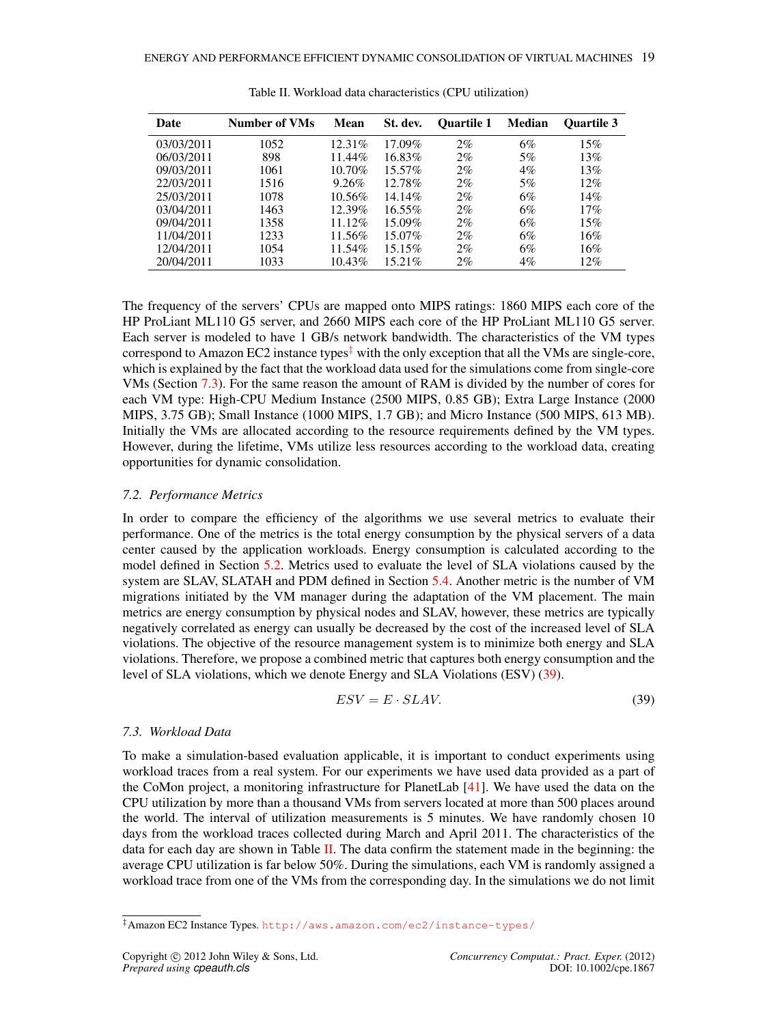<span id="page-18-3"></span>

| Date       | <b>Number of VMs</b> | Mean    | St. dev.  | <b>Ouartile 1</b> | Median | <b>Ouartile 3</b> |
|------------|----------------------|---------|-----------|-------------------|--------|-------------------|
| 03/03/2011 | 1052                 | 12.31\% | 17.09%    | $2\%$             | 6%     | 15%               |
| 06/03/2011 | 898                  | 11.44%  | 16.83%    | $2\%$             | 5%     | 13%               |
| 09/03/2011 | 1061                 | 10.70%  | 15.57%    | $2\%$             | $4\%$  | 13%               |
| 22/03/2011 | 1516                 | 9.26%   | 12.78%    | $2\%$             | 5%     | 12%               |
| 25/03/2011 | 1078                 | 10.56%  | 14.14%    | $2\%$             | 6%     | 14%               |
| 03/04/2011 | 1463                 | 12.39%  | 16.55%    | $2\%$             | 6%     | 17%               |
| 09/04/2011 | 1358                 | 11.12%  | 15.09%    | $2\%$             | 6%     | 15%               |
| 11/04/2011 | 1233                 | 11.56%  | 15.07%    | $2\%$             | 6%     | 16%               |
| 12/04/2011 | 1054                 | 11.54%  | 15.15%    | $2\%$             | 6%     | 16%               |
| 20/04/2011 | 1033                 | 10.43%  | $15.21\%$ | $2\%$             | $4\%$  | 12%               |

Table II. Workload data characteristics (CPU utilization)

The frequency of the servers' CPUs are mapped onto MIPS ratings: 1860 MIPS each core of the HP ProLiant ML110 G5 server, and 2660 MIPS each core of the HP ProLiant ML110 G5 server. Each server is modeled to have 1 GB/s network bandwidth. The characteristics of the VM types correspond to Amazon EC2 instance types $\frac{1}{2}$  with the only exception that all the VMs are single-core, which is explained by the fact that the workload data used for the simulations come from single-core VMs (Section [7.3\)](#page-18-1). For the same reason the amount of RAM is divided by the number of cores for each VM type: High-CPU Medium Instance (2500 MIPS, 0.85 GB); Extra Large Instance (2000 MIPS, 3.75 GB); Small Instance (1000 MIPS, 1.7 GB); and Micro Instance (500 MIPS, 613 MB). Initially the VMs are allocated according to the resource requirements defined by the VM types. However, during the lifetime, VMs utilize less resources according to the workload data, creating opportunities for dynamic consolidation.

# *7.2. Performance Metrics*

In order to compare the efficiency of the algorithms we use several metrics to evaluate their performance. One of the metrics is the total energy consumption by the physical servers of a data center caused by the application workloads. Energy consumption is calculated according to the model defined in Section [5.2.](#page-10-2) Metrics used to evaluate the level of SLA violations caused by the system are SLAV, SLATAH and PDM defined in Section [5.4.](#page-12-3) Another metric is the number of VM migrations initiated by the VM manager during the adaptation of the VM placement. The main metrics are energy consumption by physical nodes and SLAV, however, these metrics are typically negatively correlated as energy can usually be decreased by the cost of the increased level of SLA violations. The objective of the resource management system is to minimize both energy and SLA violations. Therefore, we propose a combined metric that captures both energy consumption and the level of SLA violations, which we denote Energy and SLA Violations (ESV) [\(39\)](#page-18-2).

<span id="page-18-2"></span>
$$
ESV = E \cdot SLAV.
$$
\n(39)

# <span id="page-18-1"></span>*7.3. Workload Data*

To make a simulation-based evaluation applicable, it is important to conduct experiments using workload traces from a real system. For our experiments we have used data provided as a part of the CoMon project, a monitoring infrastructure for PlanetLab [\[41\]](#page-23-21). We have used the data on the CPU utilization by more than a thousand VMs from servers located at more than 500 places around the world. The interval of utilization measurements is 5 minutes. We have randomly chosen 10 days from the workload traces collected during March and April 2011. The characteristics of the data for each day are shown in Table [II.](#page-18-3) The data confirm the statement made in the beginning: the average CPU utilization is far below 50%. During the simulations, each VM is randomly assigned a workload trace from one of the VMs from the corresponding day. In the simulations we do not limit

<span id="page-18-0"></span><sup>‡</sup>Amazon EC2 Instance Types. <http://aws.amazon.com/ec2/instance-types/>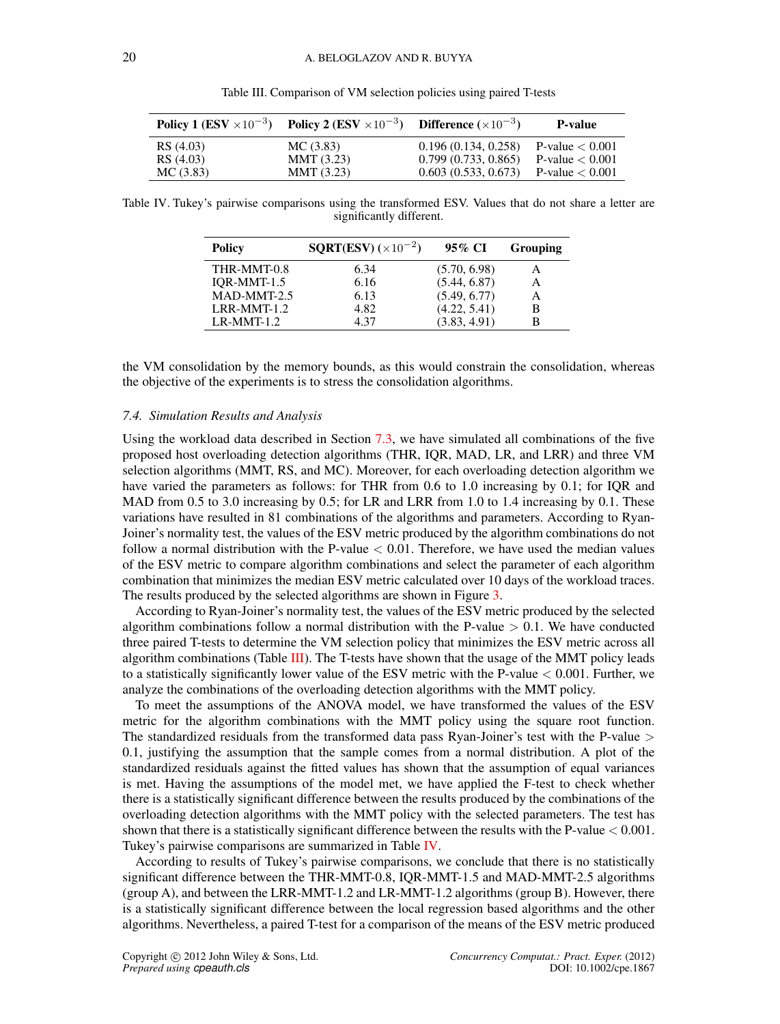<span id="page-19-0"></span>

| Policy 1 (ESV $\times 10^{-3}$ ) | Policy 2 (ESV $\times 10^{-3}$ ) Difference ( $\times 10^{-3}$ ) |                     | <b>P-value</b>    |
|----------------------------------|------------------------------------------------------------------|---------------------|-------------------|
| RS (4.03)                        | MC(3.83)                                                         | 0.196(0.134, 0.258) | P-value $< 0.001$ |
| RS(4.03)                         | MMT (3.23)                                                       | 0.799(0.733, 0.865) | P-value $< 0.001$ |
| MC (3.83)                        | MMT (3.23)                                                       | 0.603(0.533, 0.673) | P-value $< 0.001$ |

Table III. Comparison of VM selection policies using paired T-tests

<span id="page-19-1"></span>Table IV. Tukey's pairwise comparisons using the transformed ESV. Values that do not share a letter are significantly different.

| <b>Policy</b>  | <b>SQRT(ESV)</b> ( $\times 10^{-2}$ ) | 95% CI       | <b>Grouping</b> |
|----------------|---------------------------------------|--------------|-----------------|
| THR-MMT-0.8    | 6.34                                  | (5.70, 6.98) | А               |
| IOR-MMT-1.5    | 6.16                                  | (5.44, 6.87) | A               |
| MAD-MMT-2.5    | 6.13                                  | (5.49, 6.77) | Α               |
| $LRR$ -MMT-1.2 | 4.82                                  | (4.22, 5.41) | B               |
| $LR-MMT-1.2$   | 437                                   | (3.83, 4.91) | в               |

the VM consolidation by the memory bounds, as this would constrain the consolidation, whereas the objective of the experiments is to stress the consolidation algorithms.

### *7.4. Simulation Results and Analysis*

Using the workload data described in Section [7.3,](#page-18-1) we have simulated all combinations of the five proposed host overloading detection algorithms (THR, IQR, MAD, LR, and LRR) and three VM selection algorithms (MMT, RS, and MC). Moreover, for each overloading detection algorithm we have varied the parameters as follows: for THR from 0.6 to 1.0 increasing by 0.1; for IQR and MAD from 0.5 to 3.0 increasing by 0.5; for LR and LRR from 1.0 to 1.4 increasing by 0.1. These variations have resulted in 81 combinations of the algorithms and parameters. According to Ryan-Joiner's normality test, the values of the ESV metric produced by the algorithm combinations do not follow a normal distribution with the P-value  $< 0.01$ . Therefore, we have used the median values of the ESV metric to compare algorithm combinations and select the parameter of each algorithm combination that minimizes the median ESV metric calculated over 10 days of the workload traces. The results produced by the selected algorithms are shown in Figure [3.](#page-20-0)

According to Ryan-Joiner's normality test, the values of the ESV metric produced by the selected algorithm combinations follow a normal distribution with the P-value  $> 0.1$ . We have conducted three paired T-tests to determine the VM selection policy that minimizes the ESV metric across all algorithm combinations (Table [III\)](#page-19-0). The T-tests have shown that the usage of the MMT policy leads to a statistically significantly lower value of the ESV metric with the P-value  $< 0.001$ . Further, we analyze the combinations of the overloading detection algorithms with the MMT policy.

To meet the assumptions of the ANOVA model, we have transformed the values of the ESV metric for the algorithm combinations with the MMT policy using the square root function. The standardized residuals from the transformed data pass Ryan-Joiner's test with the P-value  $>$ 0.1, justifying the assumption that the sample comes from a normal distribution. A plot of the standardized residuals against the fitted values has shown that the assumption of equal variances is met. Having the assumptions of the model met, we have applied the F-test to check whether there is a statistically significant difference between the results produced by the combinations of the overloading detection algorithms with the MMT policy with the selected parameters. The test has shown that there is a statistically significant difference between the results with the P-value < 0.001. Tukey's pairwise comparisons are summarized in Table [IV.](#page-19-1)

According to results of Tukey's pairwise comparisons, we conclude that there is no statistically significant difference between the THR-MMT-0.8, IQR-MMT-1.5 and MAD-MMT-2.5 algorithms (group A), and between the LRR-MMT-1.2 and LR-MMT-1.2 algorithms (group B). However, there is a statistically significant difference between the local regression based algorithms and the other algorithms. Nevertheless, a paired T-test for a comparison of the means of the ESV metric produced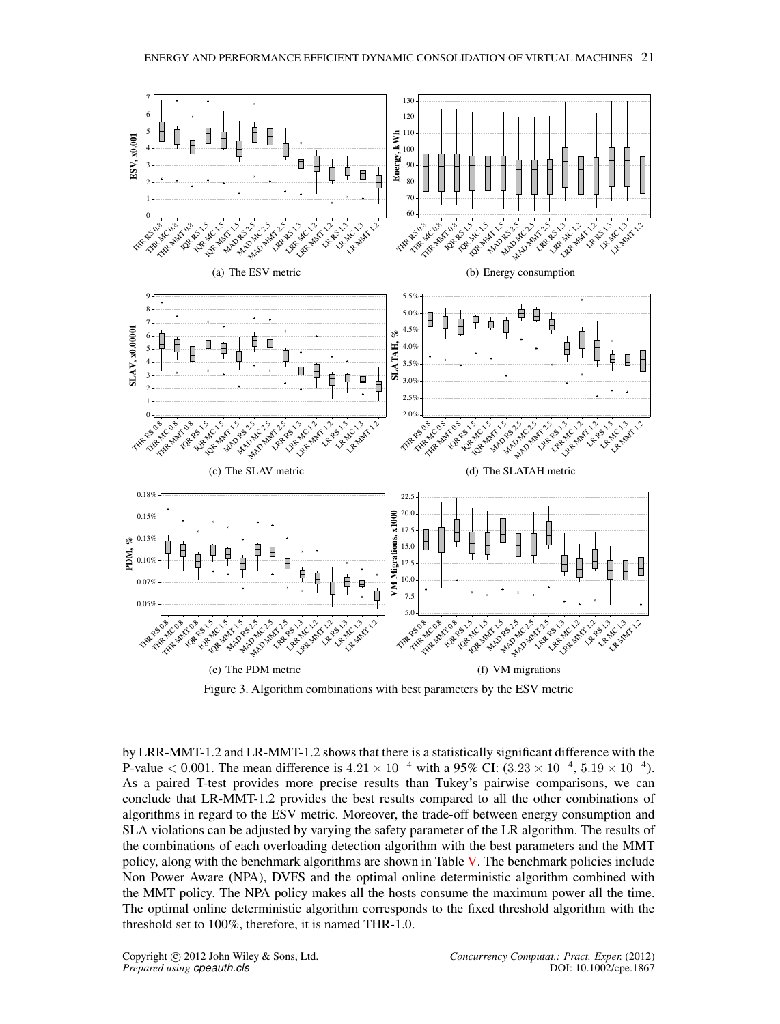<span id="page-20-0"></span>

Figure 3. Algorithm combinations with best parameters by the ESV metric

by LRR-MMT-1.2 and LR-MMT-1.2 shows that there is a statistically significant difference with the P-value  $< 0.001$ . The mean difference is  $4.21 \times 10^{-4}$  with a 95% CI:  $(3.23 \times 10^{-4}, 5.19 \times 10^{-4})$ . As a paired T-test provides more precise results than Tukey's pairwise comparisons, we can conclude that LR-MMT-1.2 provides the best results compared to all the other combinations of algorithms in regard to the ESV metric. Moreover, the trade-off between energy consumption and SLA violations can be adjusted by varying the safety parameter of the LR algorithm. The results of the combinations of each overloading detection algorithm with the best parameters and the MMT policy, along with the benchmark algorithms are shown in Table  $V$ . The benchmark policies include Non Power Aware (NPA), DVFS and the optimal online deterministic algorithm combined with the MMT policy. The NPA policy makes all the hosts consume the maximum power all the time. The optimal online deterministic algorithm corresponds to the fixed threshold algorithm with the threshold set to 100%, therefore, it is named THR-1.0.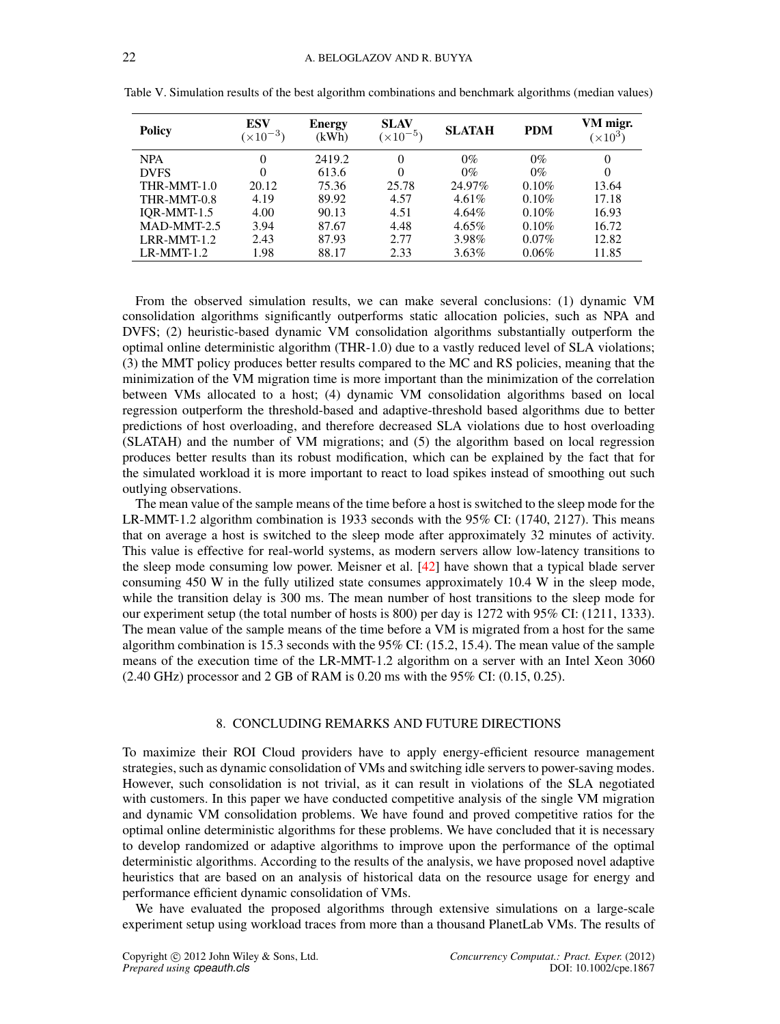| × |  |
|---|--|
|   |  |

| <b>Policy</b> | <b>ESV</b><br>$-3$<br>$(\times 10^{-1}$ | <b>Energy</b><br>(kWh) | <b>SLAV</b><br>$(x10^{-5})$ | <b>SLATAH</b> | <b>PDM</b> | VM migr.<br>$(\times 10^3)$ |
|---------------|-----------------------------------------|------------------------|-----------------------------|---------------|------------|-----------------------------|
| <b>NPA</b>    | 0                                       | 2419.2                 | $\Omega$                    | $0\%$         | $0\%$      | $\Omega$                    |
| <b>DVFS</b>   |                                         | 613.6                  | $\Omega$                    | $0\%$         | $0\%$      | $\Omega$                    |
| THR-MMT-1.0   | 20.12                                   | 75.36                  | 25.78                       | 24.97%        | $0.10\%$   | 13.64                       |
| THR-MMT-0.8   | 4.19                                    | 89.92                  | 4.57                        | $4.61\%$      | 0.10%      | 17.18                       |
| IOR-MMT-1.5   | 4.00                                    | 90.13                  | 4.51                        | $4.64\%$      | 0.10%      | 16.93                       |
| MAD-MMT-2.5   | 3.94                                    | 87.67                  | 4.48                        | $4.65\%$      | 0.10%      | 16.72                       |
| $LRR-MMT-1.2$ | 2.43                                    | 87.93                  | 2.77                        | 3.98%         | $0.07\%$   | 12.82                       |
| $LR$ -MMT-1.2 | 1.98                                    | 88.17                  | 2.33                        | $3.63\%$      | $0.06\%$   | 11.85                       |

<span id="page-21-1"></span>Table V. Simulation results of the best algorithm combinations and benchmark algorithms (median values)

From the observed simulation results, we can make several conclusions: (1) dynamic VM consolidation algorithms significantly outperforms static allocation policies, such as NPA and DVFS; (2) heuristic-based dynamic VM consolidation algorithms substantially outperform the optimal online deterministic algorithm (THR-1.0) due to a vastly reduced level of SLA violations; (3) the MMT policy produces better results compared to the MC and RS policies, meaning that the minimization of the VM migration time is more important than the minimization of the correlation between VMs allocated to a host; (4) dynamic VM consolidation algorithms based on local regression outperform the threshold-based and adaptive-threshold based algorithms due to better predictions of host overloading, and therefore decreased SLA violations due to host overloading (SLATAH) and the number of VM migrations; and (5) the algorithm based on local regression produces better results than its robust modification, which can be explained by the fact that for the simulated workload it is more important to react to load spikes instead of smoothing out such outlying observations.

The mean value of the sample means of the time before a host is switched to the sleep mode for the LR-MMT-1.2 algorithm combination is 1933 seconds with the 95% CI: (1740, 2127). This means that on average a host is switched to the sleep mode after approximately 32 minutes of activity. This value is effective for real-world systems, as modern servers allow low-latency transitions to the sleep mode consuming low power. Meisner et al. [\[42\]](#page-23-22) have shown that a typical blade server consuming 450 W in the fully utilized state consumes approximately 10.4 W in the sleep mode, while the transition delay is 300 ms. The mean number of host transitions to the sleep mode for our experiment setup (the total number of hosts is 800) per day is 1272 with 95% CI: (1211, 1333). The mean value of the sample means of the time before a VM is migrated from a host for the same algorithm combination is 15.3 seconds with the 95% CI: (15.2, 15.4). The mean value of the sample means of the execution time of the LR-MMT-1.2 algorithm on a server with an Intel Xeon 3060 (2.40 GHz) processor and 2 GB of RAM is 0.20 ms with the 95% CI: (0.15, 0.25).

# 8. CONCLUDING REMARKS AND FUTURE DIRECTIONS

<span id="page-21-0"></span>To maximize their ROI Cloud providers have to apply energy-efficient resource management strategies, such as dynamic consolidation of VMs and switching idle servers to power-saving modes. However, such consolidation is not trivial, as it can result in violations of the SLA negotiated with customers. In this paper we have conducted competitive analysis of the single VM migration and dynamic VM consolidation problems. We have found and proved competitive ratios for the optimal online deterministic algorithms for these problems. We have concluded that it is necessary to develop randomized or adaptive algorithms to improve upon the performance of the optimal deterministic algorithms. According to the results of the analysis, we have proposed novel adaptive heuristics that are based on an analysis of historical data on the resource usage for energy and performance efficient dynamic consolidation of VMs.

We have evaluated the proposed algorithms through extensive simulations on a large-scale experiment setup using workload traces from more than a thousand PlanetLab VMs. The results of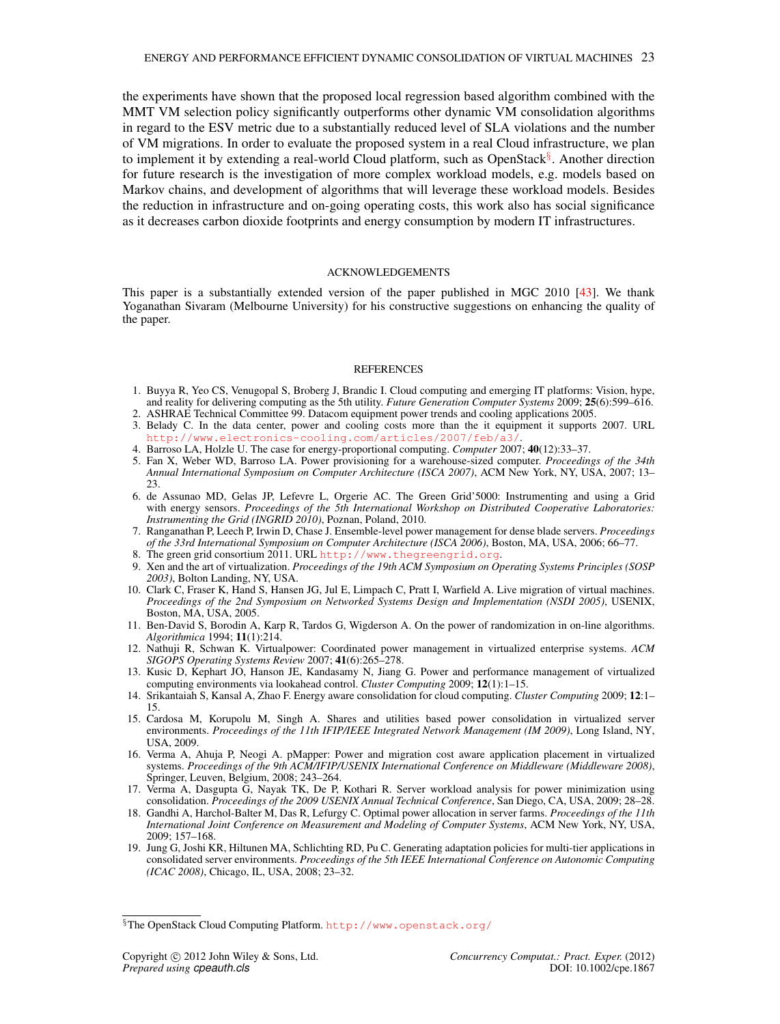the experiments have shown that the proposed local regression based algorithm combined with the MMT VM selection policy significantly outperforms other dynamic VM consolidation algorithms in regard to the ESV metric due to a substantially reduced level of SLA violations and the number of VM migrations. In order to evaluate the proposed system in a real Cloud infrastructure, we plan to implement it by extending a real-world Cloud platform, such as OpenStack[§](#page-22-19). Another direction for future research is the investigation of more complex workload models, e.g. models based on Markov chains, and development of algorithms that will leverage these workload models. Besides the reduction in infrastructure and on-going operating costs, this work also has social significance as it decreases carbon dioxide footprints and energy consumption by modern IT infrastructures.

### ACKNOWLEDGEMENTS

This paper is a substantially extended version of the paper published in MGC 2010 [\[43\]](#page-23-23). We thank Yoganathan Sivaram (Melbourne University) for his constructive suggestions on enhancing the quality of the paper.

### **REFERENCES**

- <span id="page-22-0"></span>1. Buyya R, Yeo CS, Venugopal S, Broberg J, Brandic I. Cloud computing and emerging IT platforms: Vision, hype, and reality for delivering computing as the 5th utility. *Future Generation Computer Systems* 2009; 25(6):599–616.
- <span id="page-22-1"></span>2. ASHRAE Technical Committee 99. Datacom equipment power trends and cooling applications 2005.
- <span id="page-22-2"></span>3. Belady C. In the data center, power and cooling costs more than the it equipment it supports 2007. URL <http://www.electronics-cooling.com/articles/2007/feb/a3/>.
- <span id="page-22-3"></span>4. Barroso LA, Holzle U. The case for energy-proportional computing. *Computer* 2007; 40(12):33–37.
- <span id="page-22-4"></span>5. Fan X, Weber WD, Barroso LA. Power provisioning for a warehouse-sized computer. *Proceedings of the 34th Annual International Symposium on Computer Architecture (ISCA 2007)*, ACM New York, NY, USA, 2007; 13– 23.
- <span id="page-22-5"></span>6. de Assunao MD, Gelas JP, Lefevre L, Orgerie AC. The Green Grid'5000: Instrumenting and using a Grid with energy sensors. *Proceedings of the 5th International Workshop on Distributed Cooperative Laboratories: Instrumenting the Grid (INGRID 2010)*, Poznan, Poland, 2010.
- <span id="page-22-6"></span>7. Ranganathan P, Leech P, Irwin D, Chase J. Ensemble-level power management for dense blade servers. *Proceedings of the 33rd International Symposium on Computer Architecture (ISCA 2006)*, Boston, MA, USA, 2006; 66–77.
- <span id="page-22-7"></span>8. The green grid consortium 2011. URL <http://www.thegreengrid.org>.
- <span id="page-22-8"></span>9. Xen and the art of virtualization. *Proceedings of the 19th ACM Symposium on Operating Systems Principles (SOSP 2003)*, Bolton Landing, NY, USA.
- <span id="page-22-9"></span>10. Clark C, Fraser K, Hand S, Hansen JG, Jul E, Limpach C, Pratt I, Warfield A. Live migration of virtual machines. *Proceedings of the 2nd Symposium on Networked Systems Design and Implementation (NSDI 2005)*, USENIX, Boston, MA, USA, 2005.
- <span id="page-22-10"></span>11. Ben-David S, Borodin A, Karp R, Tardos G, Wigderson A. On the power of randomization in on-line algorithms. *Algorithmica* 1994; 11(1):214.
- <span id="page-22-11"></span>12. Nathuji R, Schwan K. Virtualpower: Coordinated power management in virtualized enterprise systems. *ACM SIGOPS Operating Systems Review* 2007; 41(6):265–278.
- <span id="page-22-12"></span>13. Kusic D, Kephart JO, Hanson JE, Kandasamy N, Jiang G. Power and performance management of virtualized computing environments via lookahead control. *Cluster Computing* 2009; 12(1):1–15.
- <span id="page-22-13"></span>14. Srikantaiah S, Kansal A, Zhao F. Energy aware consolidation for cloud computing. *Cluster Computing* 2009; 12:1– 15.
- <span id="page-22-14"></span>15. Cardosa M, Korupolu M, Singh A. Shares and utilities based power consolidation in virtualized server environments. *Proceedings of the 11th IFIP/IEEE Integrated Network Management (IM 2009)*, Long Island, NY, USA, 2009.
- <span id="page-22-15"></span>16. Verma A, Ahuja P, Neogi A. pMapper: Power and migration cost aware application placement in virtualized systems. *Proceedings of the 9th ACM/IFIP/USENIX International Conference on Middleware (Middleware 2008)*, Springer, Leuven, Belgium, 2008; 243–264.
- <span id="page-22-16"></span>17. Verma A, Dasgupta G, Nayak TK, De P, Kothari R. Server workload analysis for power minimization using consolidation. *Proceedings of the 2009 USENIX Annual Technical Conference*, San Diego, CA, USA, 2009; 28–28.
- <span id="page-22-17"></span>18. Gandhi A, Harchol-Balter M, Das R, Lefurgy C. Optimal power allocation in server farms. *Proceedings of the 11th International Joint Conference on Measurement and Modeling of Computer Systems*, ACM New York, NY, USA, 2009; 157–168.
- <span id="page-22-18"></span>19. Jung G, Joshi KR, Hiltunen MA, Schlichting RD, Pu C. Generating adaptation policies for multi-tier applications in consolidated server environments. *Proceedings of the 5th IEEE International Conference on Autonomic Computing (ICAC 2008)*, Chicago, IL, USA, 2008; 23–32.

<span id="page-22-19"></span><sup>§</sup>The OpenStack Cloud Computing Platform. <http://www.openstack.org/>